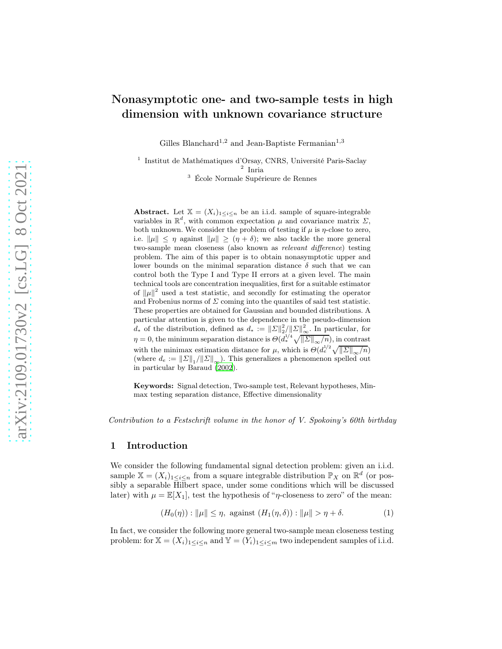# Nonasymptotic one- and two-sample tests in high dimension with unknown covariance structure

Gilles Blanchard<sup>1,2</sup> and Jean-Baptiste Fermanian<sup>1,3</sup>

1 Institut de Mathématiques d'Orsay, CNRS, Université Paris-Saclay 2 Inria

<sup>3</sup> École Normale Supérieure de Rennes

Abstract. Let  $X = (X_i)_{1 \leq i \leq n}$  be an i.i.d. sample of square-integrable variables in  $\mathbb{R}^d$ , with common expectation  $\mu$  and covariance matrix  $\Sigma$ , both unknown. We consider the problem of testing if  $\mu$  is  $\eta$ -close to zero, i.e.  $\|\mu\| \leq \eta$  against  $\|\mu\| \geq (\eta + \delta)$ ; we also tackle the more general two-sample mean closeness (also known as relevant difference) testing problem. The aim of this paper is to obtain nonasymptotic upper and lower bounds on the minimal separation distance  $\delta$  such that we can control both the Type I and Type II errors at a given level. The main technical tools are concentration inequalities, first for a suitable estimator of  $\|\mu\|^2$  used a test statistic, and secondly for estimating the operator and Frobenius norms of  $\Sigma$  coming into the quantiles of said test statistic. These properties are obtained for Gaussian and bounded distributions. A particular attention is given to the dependence in the pseudo-dimension  $d_*$  of the distribution, defined as  $d_* := \|\Sigma\|_2^2 / \|\Sigma\|_{\infty}^2$ . In particular, for  $\eta = 0$ , the minimum separation distance is  $\Theta(d_*^{1/4}\sqrt{\|\Sigma\|_{\infty}/n})$ , in contrast with the minimax estimation distance for  $\mu$ , which is  $\Theta(d_e^{1/2}\sqrt{||\Sigma||_{\infty}/n})$ (where  $d_e := ||\Sigma||_1 / ||\Sigma||_{\infty}$ ). This generalizes a phenomenon spelled out in particular by Baraud [\(2002\)](#page-37-0).

Keywords: Signal detection, Two-sample test, Relevant hypotheses, Minmax testing separation distance, Effective dimensionality

Contribution to a Festschrift volume in the honor of V. Spokoiny's 60th birthday

## 1 Introduction

We consider the following fundamental signal detection problem: given an i.i.d. sample  $\mathbb{X} = (X_i)_{1 \leq i \leq n}$  from a square integrable distribution  $\mathbb{P}_X$  on  $\mathbb{R}^d$  (or possibly a separable Hilbert space, under some conditions which will be discussed later) with  $\mu = \mathbb{E}[X_1]$ , test the hypothesis of "*η*-closeness to zero" of the mean:

<span id="page-0-0"></span>
$$
(H_0(\eta)) : \|\mu\| \le \eta, \text{ against } (H_1(\eta, \delta)) : \|\mu\| > \eta + \delta. \tag{1}
$$

In fact, we consider the following more general two-sample mean closeness testing problem: for  $\mathbb{X} = (X_i)_{1 \leq i \leq n}$  and  $\mathbb{Y} = (Y_i)_{1 \leq i \leq m}$  two independent samples of i.i.d.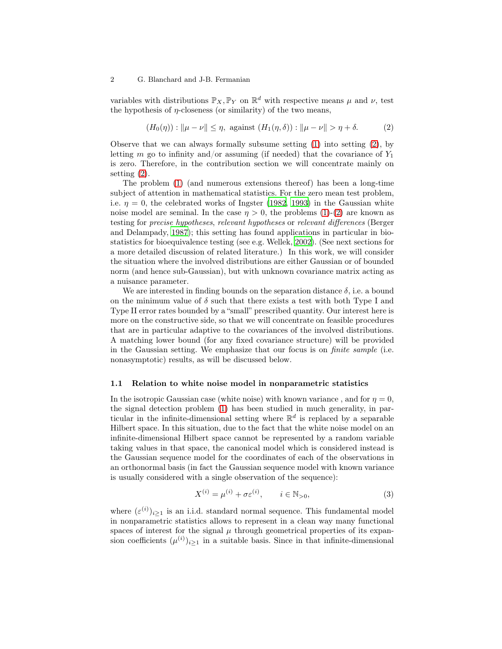variables with distributions  $\mathbb{P}_X, \mathbb{P}_Y$  on  $\mathbb{R}^d$  with respective means  $\mu$  and  $\nu$ , test the hypothesis of  $\eta$ -closeness (or similarity) of the two means,

<span id="page-1-0"></span>
$$
(H_0(\eta)) : \|\mu - \nu\| \le \eta, \text{ against } (H_1(\eta, \delta)) : \|\mu - \nu\| > \eta + \delta. \tag{2}
$$

Observe that we can always formally subsume setting  $(1)$  into setting  $(2)$ , by letting m go to infinity and/or assuming (if needed) that the covariance of  $Y_1$ is zero. Therefore, in the contribution section we will concentrate mainly on setting [\(2\)](#page-1-0).

The problem [\(1\)](#page-0-0) (and numerous extensions thereof) has been a long-time subject of attention in mathematical statistics. For the zero mean test problem, i.e.  $\eta = 0$ , the celebrated works of Ingster [\(1982,](#page-38-0) [1993\)](#page-38-1) in the Gaussian white noise model are seminal. In the case  $\eta > 0$ , the problems [\(1\)](#page-0-0)-[\(2\)](#page-1-0) are known as testing for precise hypotheses, relevant hypotheses or relevant differences (Berger and Delampady, [1987](#page-37-1)); this setting has found applications in particular in biostatistics for bioequivalence testing (see e.g. Wellek, [2002\)](#page-39-0). (See next sections for a more detailed discussion of related literature.) In this work, we will consider the situation where the involved distributions are either Gaussian or of bounded norm (and hence sub-Gaussian), but with unknown covariance matrix acting as a nuisance parameter.

We are interested in finding bounds on the separation distance  $\delta$ , i.e. a bound on the minimum value of  $\delta$  such that there exists a test with both Type I and Type II error rates bounded by a "small" prescribed quantity. Our interest here is more on the constructive side, so that we will concentrate on feasible procedures that are in particular adaptive to the covariances of the involved distributions. A matching lower bound (for any fixed covariance structure) will be provided in the Gaussian setting. We emphasize that our focus is on finite sample (i.e. nonasymptotic) results, as will be discussed below.

## <span id="page-1-2"></span>1.1 Relation to white noise model in nonparametric statistics

In the isotropic Gaussian case (white noise) with known variance, and for  $\eta = 0$ , the signal detection problem [\(1\)](#page-0-0) has been studied in much generality, in particular in the infinite-dimensional setting where  $\mathbb{R}^d$  is replaced by a separable Hilbert space. In this situation, due to the fact that the white noise model on an infinite-dimensional Hilbert space cannot be represented by a random variable taking values in that space, the canonical model which is considered instead is the Gaussian sequence model for the coordinates of each of the observations in an orthonormal basis (in fact the Gaussian sequence model with known variance is usually considered with a single observation of the sequence):

<span id="page-1-1"></span>
$$
X^{(i)} = \mu^{(i)} + \sigma \varepsilon^{(i)}, \qquad i \in \mathbb{N}_{>0},
$$
 (3)

where  $(\varepsilon^{(i)})_{i\geq 1}$  is an i.i.d. standard normal sequence. This fundamental model in nonparametric statistics allows to represent in a clean way many functional spaces of interest for the signal  $\mu$  through geometrical properties of its expansion coefficients  $(\mu^{(i)})_{i\geq 1}$  in a suitable basis. Since in that infinite-dimensional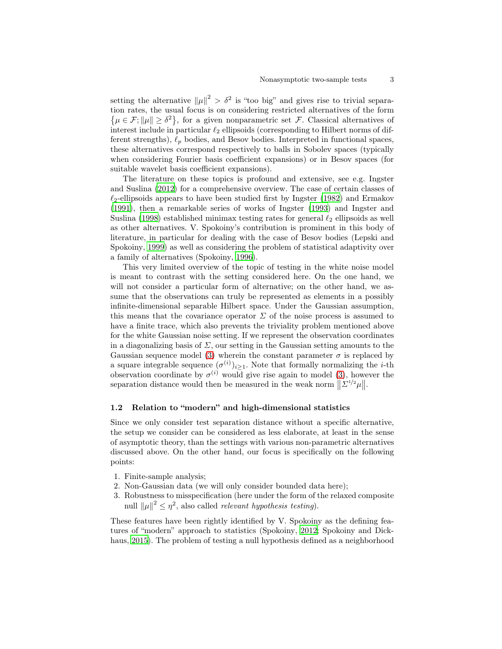setting the alternative  $||\mu||^2 > \delta^2$  is "too big" and gives rise to trivial separation rates, the usual focus is on considering restricted alt ernatives of the form  $\{\mu \in \mathcal{F}; \|\mu\| \geq \delta^2\}$ , for a given nonparametric set  $\mathcal{F}$ . Classical alternatives of interest include in particular  $\ell_2$  ellipsoids (corresponding to Hilbert norms of different strengths),  $\ell_p$  bodies, and Besov bodies. Interpreted in functional spaces, these alternatives correspond respectively to balls in Sobolev spaces (typically when considering Fourier basis coefficient expansions) or in Besov spaces (for suitable wavelet basis coefficient expansions).

The literature on these topics is profound and extensive, see e.g. Ingster and Suslina [\(2012\)](#page-38-2) for a comprehensive overview. The case of certain classes of  $\ell_2$ -ellipsoids appears to have been studied first by Ingster [\(1982\)](#page-38-0) and Ermakov [\(1991\)](#page-38-3), then a remarkable series of works of Ingster [\(1993\)](#page-38-1) and Ingster and Suslina [\(1998\)](#page-38-4) established minimax testing rates for general  $\ell_2$  ellipsoids as well as other alternatives. V. Spokoiny's contribution is prominent in this body of literature, in particular for dealing with the case of Besov bodies (Lepski and Spokoiny, [1999](#page-38-5)) as well as considering the problem of statistical adaptivity over a family of alternatives (Spokoiny, [1996](#page-39-1)).

This very limited overview of the topic of testing in the white noise model is meant to contrast with the setting considered here. On the one hand, we will not consider a particular form of alternative; on the other hand, we assume that the observations can truly be represented as elements in a possibly infinite-dimensional separable Hilbert space. Under the Gaussian assumption, this means that the covariance operator  $\Sigma$  of the noise process is assumed to have a finite trace, which also prevents the triviality problem mentioned above for the white Gaussian noise setting. If we represent the observation coordinates in a diagonalizing basis of  $\Sigma$ , our setting in the Gaussian setting amounts to the Gaussian sequence model [\(3\)](#page-1-1) wherein the constant parameter  $\sigma$  is replaced by a square integrable sequence  $(\sigma^{(i)})_{i\geq 1}$ . Note that formally normalizing the *i*-th observation coordinate by  $\sigma^{(i)}$  would give rise again to model [\(3\)](#page-1-1), however the separation distance would then be measured in the weak norm  $\|\Sigma^{1/2}\mu\|$ .

## 1.2 Relation to "modern" and high-dimensional statistics

Since we only consider test separation distance without a specific alternative, the setup we consider can be considered as less elaborate, at least in the sense of asymptotic theory, than the settings with various non-parametric alternatives discussed above. On the other hand, our focus is specifically on the following points:

- 1. Finite-sample analysis;
- 2. Non-Gaussian data (we will only consider bounded data here);
- 3. Robustness to misspecification (here under the form of the relaxed composite null  $\|\mu\|^2 \leq \eta^2$ , also called *relevant hypothesis testing*).

These features have been rightly identified by V. Spokoiny as the defining features of "modern" approach to statistics (Spokoiny, [2012;](#page-39-2) Spokoiny and Dickhaus, [2015\)](#page-39-3). The problem of testing a null hypothesis defined as a neighborhood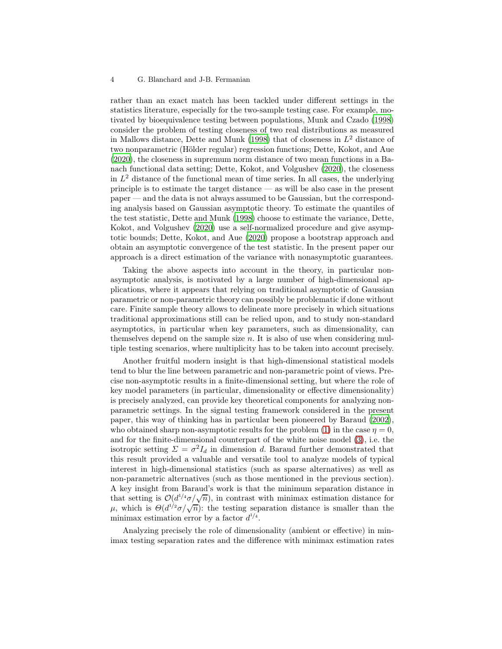rather than an exact match has been tackled under different settings in the statistics literature, especially for the two-sample testing case. For example, motivated by bioequivalence testing between populations, Munk and Czado [\(1998\)](#page-39-4) consider the problem of testing closeness of two real distributions as measured in Mallows distance, Dette and Munk [\(1998](#page-38-6)) that of closeness in  $L^2$  distance of two nonparametric (Hölder regular) regression functions; Dette, Kokot, and Aue [\(2020\)](#page-38-7), the closeness in supremum norm distance of two mean functions in a Banach functional data setting; Dette, Kokot, and Volgushev [\(2020\)](#page-38-8), the closeness in  $L^2$  distance of the functional mean of time series. In all cases, the underlying principle is to estimate the target distance — as will be also case in the present paper — and the data is not always assumed to be Gaussian, but the corresponding analysis based on Gaussian asymptotic theory. To estimate the quantiles of the test statistic, Dette and Munk [\(1998\)](#page-38-6) choose to estimate the variance, Dette, Kokot, and Volgushev [\(2020\)](#page-38-8) use a self-normalized procedure and give asymptotic bounds; Dette, Kokot, and Aue [\(2020\)](#page-38-7) propose a bootstrap approach and obtain an asymptotic convergence of the test statistic. In the present paper our approach is a direct estimation of the variance with nonasymptotic guarantees.

Taking the above aspects into account in the theory, in particular nonasymptotic analysis, is motivated by a large number of high-dimensional applications, where it appears that relying on traditional asymptotic of Gaussian parametric or non-parametric theory can possibly be problematic if done without care. Finite sample theory allows to delineate more precisely in which situations traditional approximations still can be relied upon, and to study non-standard asymptotics, in particular when key parameters, such as dimensionality, can themselves depend on the sample size  $n$ . It is also of use when considering multiple testing scenarios, where multiplicity has to be taken into account precisely.

Another fruitful modern insight is that high-dimensional statistical models tend to blur the line between parametric and non-parametric point of views. Precise non-asymptotic results in a finite-dimensional setting, but where the role of key model parameters (in particular, dimensionality or effective dimensionality) is precisely analyzed, can provide key theoretical components for analyzing nonparametric settings. In the signal testing framework considered in the present paper, this way of thinking has in particular been pioneered by Baraud [\(2002](#page-37-0)), who obtained sharp non-asymptotic results for the problem [\(1\)](#page-0-0) in the case  $\eta = 0$ , and for the finite-dimensional counterpart of the white noise model [\(3\)](#page-1-1), i.e. the isotropic setting  $\Sigma = \sigma^2 I_d$  in dimension d. Baraud further demonstrated that this result provided a valuable and versatile tool to analyze models of typical interest in high-dimensional statistics (such as sparse alternatives) as well as non-parametric alternatives (such as those mentioned in the previous section). A key insight from Baraud's work is that the minimum separation distance in that setting is  $\mathcal{O}(d^{1/4}\sigma/\sqrt{n})$ , in contrast with minimax estimation distance for μ, which is  $\Theta(d^{1/2}σ/\sqrt{n})$ : the testing separation distance is smaller than the minimax estimation error by a factor  $d^{1/4}$ .

Analyzing precisely the role of dimensionality (ambient or effective) in minimax testing separation rates and the difference with minimax estimation rates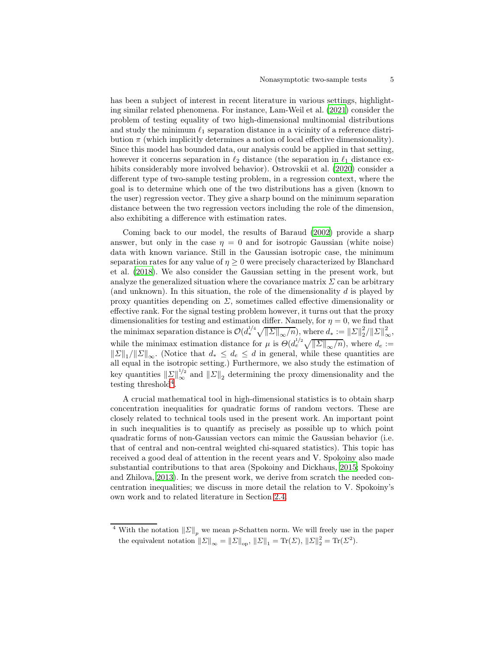has been a subject of interest in recent literature in various settings, highlighting similar related phenomena. For instance, Lam-Weil et al. [\(2021\)](#page-38-9) consider the problem of testing equality of two high-dimensional multinomial distributions and study the minimum  $\ell_1$  separation distance in a vicinity of a reference distribution  $\pi$  (which implicitly determines a notion of local effective dimensionality). Since this model has bounded data, our analysis could be applied in that setting, however it concerns separation in  $\ell_2$  distance (the separation in  $\ell_1$  distance exhibits considerably more involved behavior). Ostrovskii et al. [\(2020](#page-39-5)) consider a different type of two-sample testing problem, in a regression context, where the goal is to determine which one of the two distributions has a given (known to the user) regression vector. They give a sharp bound on the minimum separation distance between the two regression vectors including the role of the dimension, also exhibiting a difference with estimation rates.

Coming back to our model, the results of Baraud [\(2002](#page-37-0)) provide a sharp answer, but only in the case  $\eta = 0$  and for isotropic Gaussian (white noise) data with known variance. Still in the Gaussian isotropic case, the minimum separation rates for any value of  $\eta \geq 0$  were precisely characterized by Blanchard et al. [\(2018\)](#page-37-2). We also consider the Gaussian setting in the present work, but analyze the generalized situation where the covariance matrix  $\Sigma$  can be arbitrary (and unknown). In this situation, the role of the dimensionality  $d$  is played by proxy quantities depending on  $\Sigma$ , sometimes called effective dimensionality or effective rank. For the signal testing problem however, it turns out that the proxy dimensionalities for testing and estimation differ. Namely, for  $\eta = 0$ , we find that the minimax separation distance is  $\mathcal{O}(d^{1/4}_*)$  $\sqrt{\|\Sigma\|_{\infty}/n}$ , where  $d_* := \|\Sigma\|_2^2 / \|\Sigma\|_{\infty}^2$ , while the minimax estimation distance for  $\mu$  is  $\Theta(d_e^{1/2}\sqrt{\|\Sigma\|_{\infty}/n})$ , where  $d_e :=$  $||\Sigma||_1/||\Sigma||_{\infty}$ . (Notice that  $d_* \leq d_e \leq d$  in general, while these quantities are all equal in the isotropic setting.) Furthermore, we also study the estimation of key quantities  $||\Sigma||_{\infty}^{1/2}$  and  $||\Sigma||_2$  determining the proxy dimensionality and the testing threshold[4](#page-4-0) .

A crucial mathematical tool in high-dimensional statistics is to obtain sharp concentration inequalities for quadratic forms of random vectors. These are closely related to technical tools used in the present work. An important point in such inequalities is to quantify as precisely as possible up to which point quadratic forms of non-Gaussian vectors can mimic the Gaussian behavior (i.e. that of central and non-central weighted chi-squared statistics). This topic has received a good deal of attention in the recent years and V. Spokoiny also made substantial contributions to that area (Spokoiny and Dickhaus, [2015;](#page-39-3) Spokoiny and Zhilova, [2013](#page-39-6)). In the present work, we derive from scratch the needed concentration inequalities; we discuss in more detail the relation to V. Spokoiny's own work and to related literature in Section [2.4.](#page-14-0)

<span id="page-4-0"></span><sup>&</sup>lt;sup>4</sup> With the notation  $||\Sigma||_p$  we mean p-Schatten norm. We will freely use in the paper the equivalent notation  $||\Sigma||_{\infty} = ||\Sigma||_{op}$ ,  $||\Sigma||_1 = \text{Tr}(\Sigma)$ ,  $||\Sigma||_2^2 = \text{Tr}(\Sigma^2)$ .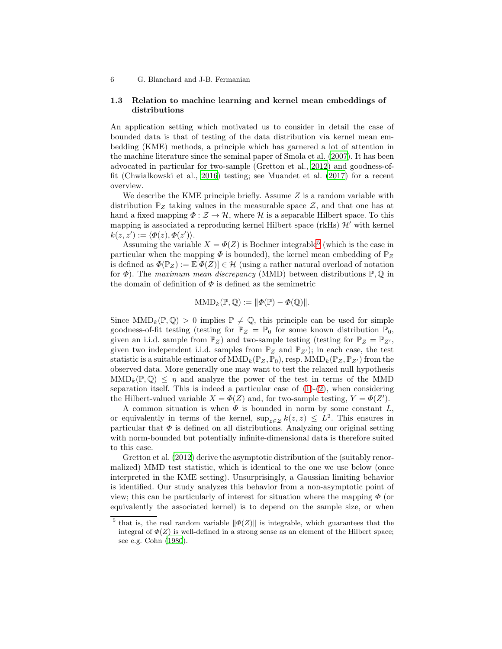## <span id="page-5-1"></span>1.3 Relation to machine learning and kernel mean embeddings of distributions

An application setting which motivated us to consider in detail the case of bounded data is that of testing of the data distribution via kernel mean embedding (KME) methods, a principle which has garnered a lot of attention in the machine literature since the seminal paper of Smola et al. [\(2007\)](#page-39-7). It has been advocated in particular for two-sample (Gretton et al., [2012\)](#page-38-10) and goodness-offit (Chwialkowski et al., [2016\)](#page-37-3) testing; see Muandet et al. [\(2017\)](#page-39-8) for a recent overview.

We describe the KME principle briefly. Assume  $Z$  is a random variable with distribution  $\mathbb{P}_Z$  taking values in the measurable space  $\mathcal{Z}$ , and that one has at hand a fixed mapping  $\Phi : \mathcal{Z} \to \mathcal{H}$ , where  $\mathcal{H}$  is a separable Hilbert space. To this mapping is associated a reproducing kernel Hilbert space (rkHs)  $\mathcal{H}'$  with kernel  $k(z, z') := \langle \Phi(z), \Phi(z') \rangle.$ 

Assuming the variable  $X = \Phi(Z)$  is Bochner integrable<sup>[5](#page-5-0)</sup> (which is the case in particular when the mapping  $\Phi$  is bounded), the kernel mean embedding of  $\mathbb{P}_Z$ is defined as  $\Phi(\mathbb{P}_Z) := \mathbb{E}[\Phi(Z)] \in \mathcal{H}$  (using a rather natural overload of notation for  $\Phi$ ). The maximum mean discrepancy (MMD) between distributions  $\mathbb{P}, \mathbb{Q}$  in the domain of definition of  $\Phi$  is defined as the semimetric

$$
\text{MMD}_k(\mathbb{P}, \mathbb{Q}) := \|\Phi(\mathbb{P}) - \Phi(\mathbb{Q})\|.
$$

Since  $MMD_k(\mathbb{P}, \mathbb{Q}) > 0$  implies  $\mathbb{P} \neq \mathbb{Q}$ , this principle can be used for simple goodness-of-fit testing (testing for  $\mathbb{P}_Z = \mathbb{P}_0$  for some known distribution  $\mathbb{P}_0$ , given an i.i.d. sample from  $\mathbb{P}_Z$ ) and two-sample testing (testing for  $\mathbb{P}_Z = \mathbb{P}_{Z'}$ , given two independent i.i.d. samples from  $\mathbb{P}_Z$  and  $\mathbb{P}_{Z'}$ ; in each case, the test statistic is a suitable estimator of  $\text{MMD}_k(\mathbb{P}_Z, \mathbb{P}_0)$ , resp.  $\text{MMD}_k(\mathbb{P}_Z, \mathbb{P}_{Z'})$  from the observed data. More generally one may want to test the relaxed null hypothesis  $MMD_k(\mathbb{P}, \mathbb{Q}) \leq \eta$  and analyze the power of the test in terms of the MMD separation itself. This is indeed a particular case of  $(1)-(2)$  $(1)-(2)$ , when considering the Hilbert-valued variable  $X = \Phi(Z)$  and, for two-sample testing,  $Y = \Phi(Z')$ .

A common situation is when  $\Phi$  is bounded in norm by some constant  $L$ , or equivalently in terms of the kernel,  $\sup_{z \in \mathcal{Z}} k(z, z) \leq L^2$ . This ensures in particular that  $\Phi$  is defined on all distributions. Analyzing our original setting with norm-bounded but potentially infinite-dimensional data is therefore suited to this case.

Gretton et al. [\(2012\)](#page-38-10) derive the asymptotic distribution of the (suitably renormalized) MMD test statistic, which is identical to the one we use below (once interpreted in the KME setting). Unsurprisingly, a Gaussian limiting behavior is identified. Our study analyzes this behavior from a non-asymptotic point of view; this can be particularly of interest for situation where the mapping  $\Phi$  (or equivalently the associated kernel) is to depend on the sample size, or when

<span id="page-5-0"></span><sup>&</sup>lt;sup>5</sup> that is, the real random variable  $\|\Phi(Z)\|$  is integrable, which guarantees that the integral of  $\Phi(Z)$  is well-defined in a strong sense as an element of the Hilbert space; see e.g. Cohn [\(1980](#page-38-11)).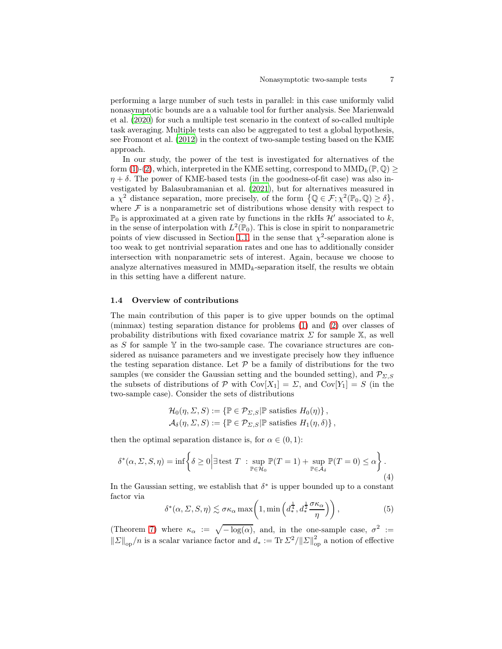performing a large number of such tests in parallel: in this case uniformly valid nonasymptotic bounds are a a valuable tool for further analysis. See Marienwald et al. [\(2020](#page-39-9)) for such a multiple test scenario in the context of so-called multiple task averaging. Multiple tests can also be aggregated to test a global hypothesis, see Fromont et al. [\(2012\)](#page-38-12) in the context of two-sample testing based on the KME approach.

In our study, the power of the test is investigated for alternatives of the form [\(1\)](#page-0-0)-[\(2\)](#page-1-0), which, interpreted in the KME setting, correspond to  $MMD_k(\mathbb{P}, \mathbb{Q})$  $\eta + \delta$ . The power of KME-based tests (in the goodness-of-fit case) was also investigated by Balasubramanian et al. [\(2021\)](#page-37-4), but for alternatives measured in a  $\chi^2$  distance separation, more precisely, of the form  $\{\mathbb{Q} \in \mathcal{F}; \chi^2(\mathbb{P}_0, \mathbb{Q}) \ge \delta\},\$ where  $\mathcal F$  is a nonparametric set of distributions whose density with respect to  $\mathbb{P}_0$  is approximated at a given rate by functions in the rkHs  $\mathcal{H}'$  associated to k, in the sense of interpolation with  $L^2(\mathbb{P}_0)$ . This is close in spirit to nonparametric points of view discussed in Section [1.1,](#page-1-2) in the sense that  $\chi^2$ -separation alone is too weak to get nontrivial separation rates and one has to additionally consider intersection with nonparametric sets of interest. Again, because we choose to analyze alternatives measured in  $MMD_k$ -separation itself, the results we obtain in this setting have a different nature.

## 1.4 Overview of contributions

The main contribution of this paper is to give upper bounds on the optimal (minmax) testing separation distance for problems [\(1\)](#page-0-0) and [\(2\)](#page-1-0) over classes of probability distributions with fixed covariance matrix  $\Sigma$  for sample  $\mathbb{X}$ , as well as S for sample  $\mathbb Y$  in the two-sample case. The covariance structures are considered as nuisance parameters and we investigate precisely how they influence the testing separation distance. Let  $P$  be a family of distributions for the two samples (we consider the Gaussian setting and the bounded setting), and  $\mathcal{P}_{\Sigma,S}$ the subsets of distributions of P with  $Cov[X_1] = \Sigma$ , and  $Cov[Y_1] = S$  (in the two-sample case). Consider the sets of distributions

<span id="page-6-1"></span>
$$
\mathcal{H}_0(\eta, \Sigma, S) := \{ \mathbb{P} \in \mathcal{P}_{\Sigma, S} | \mathbb{P} \text{ satisfies } H_0(\eta) \},
$$
  

$$
\mathcal{A}_{\delta}(\eta, \Sigma, S) := \{ \mathbb{P} \in \mathcal{P}_{\Sigma, S} | \mathbb{P} \text{ satisfies } H_1(\eta, \delta) \},
$$

then the optimal separation distance is, for  $\alpha \in (0,1)$ :

$$
\delta^*(\alpha, \Sigma, S, \eta) = \inf \left\{ \delta \ge 0 \Big| \exists \text{ test } T \; : \sup_{\mathbb{P} \in \mathcal{H}_0} \mathbb{P}(T = 1) + \sup_{\mathbb{P} \in \mathcal{A}_\delta} \mathbb{P}(T = 0) \le \alpha \right\}.
$$
\n(4)

In the Gaussian setting, we establish that  $\delta^*$  is upper bounded up to a constant factor via

<span id="page-6-0"></span>
$$
\delta^*(\alpha, \Sigma, S, \eta) \lesssim \sigma \kappa_\alpha \max\left(1, \min\left(d_*^{\frac{1}{4}}, d_*^{\frac{1}{2}} \frac{\sigma \kappa_\alpha}{\eta}\right)\right),\tag{5}
$$

(Theorem [7\)](#page-10-0) where  $\kappa_{\alpha} := \sqrt{-\log(\alpha)}$ , and, in the one-sample case,  $\sigma^2 :=$  $||\Sigma||_{op}/n$  is a scalar variance factor and  $d_* := \text{Tr }\Sigma^2 / ||\Sigma||_{op}^2$  a notion of effective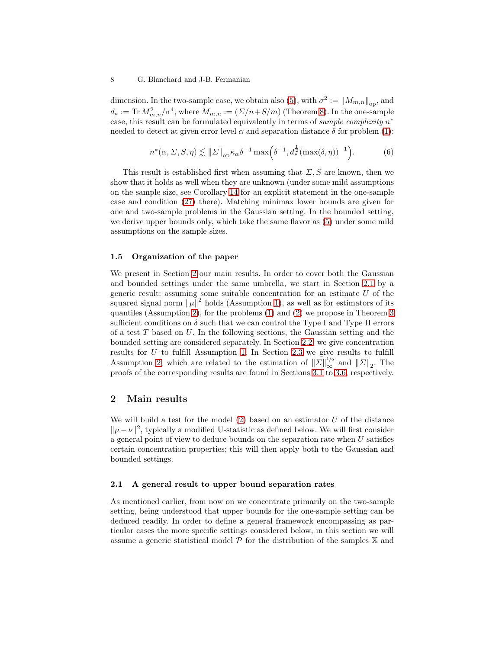dimension. In the two-sample case, we obtain also [\(5\)](#page-6-0), with  $\sigma^2 := ||M_{m,n}||_{op}$ , and  $d_* := \text{Tr } M_{m,n}^2/\sigma^4$ , where  $M_{m,n} := (\Sigma/n + S/m)$  (Theorem [8\)](#page-10-1). In the one-sample case, this result can be formulated equivalently in terms of *sample complexity*  $n^*$ needed to detect at given error level  $\alpha$  and separation distance  $\delta$  for problem [\(1\)](#page-0-0):

$$
n^*(\alpha, \Sigma, S, \eta) \lesssim \|\Sigma\|_{\text{op}} \kappa_\alpha \delta^{-1} \max\left(\delta^{-1}, d_*^{\frac{1}{2}}(\max(\delta, \eta))^{-1}\right). \tag{6}
$$

This result is established first when assuming that  $\Sigma$ , S are known, then we show that it holds as well when they are unknown (under some mild assumptions on the sample size, see Corollary [14](#page-13-0) for an explicit statement in the one-sample case and condition [\(27\)](#page-14-1) there). Matching minimax lower bounds are given for one and two-sample problems in the Gaussian setting. In the bounded setting, we derive upper bounds only, which take the same flavor as [\(5\)](#page-6-0) under some mild assumptions on the sample sizes.

## 1.5 Organization of the paper

We present in Section [2](#page-7-0) our main results. In order to cover both the Gaussian and bounded settings under the same umbrella, we start in Section [2.1](#page-7-1) by a generic result: assuming some suitable concentration for an estimate  $U$  of the squared signal norm  $\|\mu\|^2$  holds (Assumption [1\)](#page-8-0), as well as for estimators of its quantiles (Assumption [2\)](#page-8-1), for the problems [\(1\)](#page-0-0) and [\(2\)](#page-1-0) we propose in Theorem [3](#page-8-2) sufficient conditions on  $\delta$  such that we can control the Type I and Type II errors of a test  $T$  based on  $U$ . In the following sections, the Gaussian setting and the bounded setting are considered separately. In Section [2.2,](#page-9-0) we give concentration results for  $U$  to fulfill Assumption [1.](#page-8-0) In Section [2.3](#page-11-0) we give results to fulfill Assumption [2,](#page-8-1) which are related to the estimation of  $||\Sigma||_{\infty}^{1/2}$  and  $||\Sigma||_2$ . The proofs of the corresponding results are found in Sections [3.1](#page-16-0) to [3.6,](#page-30-0) respectively.

## <span id="page-7-0"></span>2 Main results

We will build a test for the model  $(2)$  based on an estimator U of the distance  $||\mu - \nu||^2$ , typically a modified U-statistic as defined below. We will first consider a general point of view to deduce bounds on the separation rate when  $U$  satisfies certain concentration properties; this will then apply both to the Gaussian and bounded settings.

## <span id="page-7-1"></span>2.1 A general result to upper bound separation rates

As mentioned earlier, from now on we concentrate primarily on the two-sample setting, being understood that upper bounds for the one-sample setting can be deduced readily. In order to define a general framework encompassing as particular cases the more specific settings considered below, in this section we will assume a generic statistical model  $P$  for the distribution of the samples  $X$  and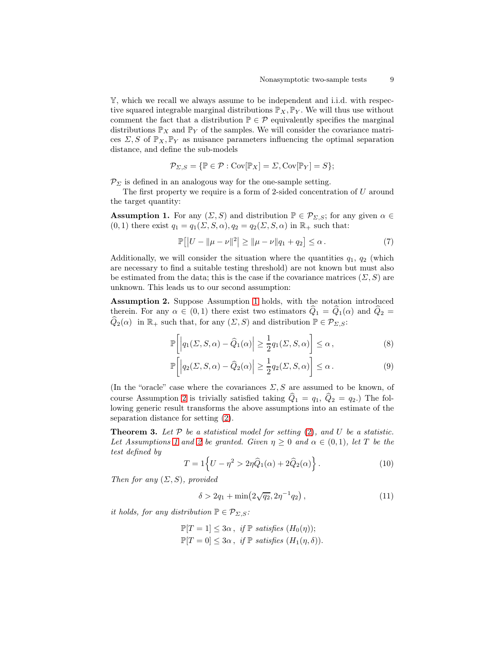Y, which we recall we always assume to be independent and i.i.d. with respective squared integrable marginal distributions  $\mathbb{P}_X$ ,  $\mathbb{P}_Y$ . We will thus use without comment the fact that a distribution  $\mathbb{P} \in \mathcal{P}$  equivalently specifies the marginal distributions  $\mathbb{P}_X$  and  $\mathbb{P}_Y$  of the samples. We will consider the covariance matrices  $\Sigma$ , S of  $\mathbb{P}_X$ ,  $\mathbb{P}_Y$  as nuisance parameters influencing the optimal separation distance, and define the sub-models

<span id="page-8-0"></span>
$$
\mathcal{P}_{\Sigma,S} = \{ \mathbb{P} \in \mathcal{P} : \mathrm{Cov}[\mathbb{P}_X] = \Sigma, \mathrm{Cov}[\mathbb{P}_Y] = S \};
$$

 $\mathcal{P}_{\Sigma}$  is defined in an analogous way for the one-sample setting.

The first property we require is a form of 2-sided concentration of  $U$  around the target quantity:

**Assumption 1.** For any  $(\Sigma, S)$  and distribution  $\mathbb{P} \in \mathcal{P}_{\Sigma, S}$ ; for any given  $\alpha \in$  $(0, 1)$  there exist  $q_1 = q_1(\Sigma, S, \alpha), q_2 = q_2(\Sigma, S, \alpha)$  in  $\mathbb{R}_+$  such that:

<span id="page-8-1"></span>
$$
\mathbb{P}[|U - ||\mu - \nu||^2] \ge ||\mu - \nu||q_1 + q_2] \le \alpha.
$$
 (7)

Additionally, we will consider the situation where the quantities  $q_1, q_2$  (which are necessary to find a suitable testing threshold) are not known but must also be estimated from the data; this is the case if the covariance matrices  $(\Sigma, S)$  are unknown. This leads us to our second assumption:

Assumption 2. Suppose Assumption [1](#page-8-0) holds, with the notation introduced therein. For any  $\alpha \in (0,1)$  there exist two estimators  $Q_1 = Q_1(\alpha)$  and  $Q_2 =$  $\widehat{Q}_2(\alpha)$  in  $\mathbb{R}_+$  such that, for any  $(\Sigma, S)$  and distribution  $\mathbb{P} \in \mathcal{P}_{\Sigma, S}$ :

$$
\mathbb{P}\bigg[\Big|q_1(\Sigma, S, \alpha) - \widehat{Q}_1(\alpha)\Big| \ge \frac{1}{2}q_1(\Sigma, S, \alpha)\bigg] \le \alpha\,,\tag{8}
$$

$$
\mathbb{P}\bigg[\Big|q_2(\Sigma, S, \alpha) - \widehat{Q}_2(\alpha)\Big| \ge \frac{1}{2}q_2(\Sigma, S, \alpha)\bigg] \le \alpha.
$$
 (9)

(In the "oracle" case where the covariances  $\Sigma$ , S are assumed to be known, of course Assumption [2](#page-8-1) is trivially satisfied taking  $\hat{Q}_1 = q_1, \hat{Q}_2 = q_2$ .) The following generic result transforms the above assumptions into an estimate of the separation distance for setting [\(2\)](#page-1-0).

**Theorem 3.** Let  $P$  be a statistical model for setting  $(2)$ , and U be a statistic. Let Assumptions [1](#page-8-0) and [2](#page-8-1) be granted. Given  $\eta \geq 0$  and  $\alpha \in (0,1)$ , let T be the test defined by

<span id="page-8-2"></span>
$$
T = 1\left\{U - \eta^2 > 2\eta \widehat{Q}_1(\alpha) + 2\widehat{Q}_2(\alpha)\right\}.
$$
 (10)

Then for any  $(\Sigma, S)$ , provided

<span id="page-8-3"></span>
$$
\delta > 2q_1 + \min(2\sqrt{q_2}, 2\eta^{-1}q_2), \qquad (11)
$$

it holds, for any distribution  $\mathbb{P} \in \mathcal{P}_{\Sigma, S}$ :

$$
\mathbb{P}[T=1] \leq 3\alpha, \text{ if } \mathbb{P} \text{ satisfies } (H_0(\eta));
$$
  

$$
\mathbb{P}[T=0] \leq 3\alpha, \text{ if } \mathbb{P} \text{ satisfies } (H_1(\eta,\delta)).
$$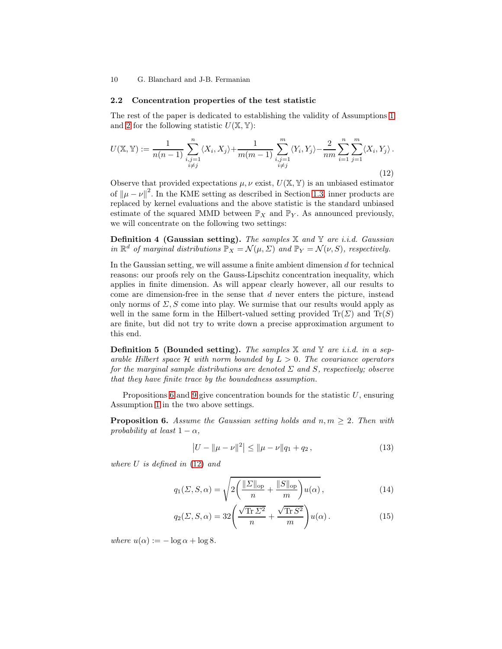## <span id="page-9-0"></span>2.2 Concentration properties of the test statistic

<span id="page-9-2"></span>The rest of the paper is dedicated to establishing the validity of Assumptions [1](#page-8-0) and [2](#page-8-1) for the following statistic  $U(\mathbb{X}, \mathbb{Y})$ :

$$
U(\mathbb{X}, \mathbb{Y}) := \frac{1}{n(n-1)} \sum_{\substack{i,j=1 \ i \neq j}}^{n} \langle X_i, X_j \rangle + \frac{1}{m(m-1)} \sum_{\substack{i,j=1 \ i \neq j}}^{m} \langle Y_i, Y_j \rangle - \frac{2}{nm} \sum_{i=1}^{n} \sum_{j=1}^{m} \langle X_i, Y_j \rangle.
$$
\n(12)

Observe that provided expectations  $\mu, \nu$  exist,  $U(\mathbb{X}, \mathbb{Y})$  is an unbiased estimator of  $\|\mu - \nu\|^2$ . In the KME setting as described in Section [1.3,](#page-5-1) inner products are replaced by kernel evaluations and the above statistic is the standard unbiased estimate of the squared MMD between  $\mathbb{P}_X$  and  $\mathbb{P}_Y$ . As announced previously, we will concentrate on the following two settings:

**Definition 4 (Gaussian setting).** The samples  $X$  and  $Y$  are i.i.d. Gaussian in  $\mathbb{R}^d$  of marginal distributions  $\mathbb{P}_X = \mathcal{N}(\mu, \Sigma)$  and  $\mathbb{P}_Y = \mathcal{N}(\nu, S)$ , respectively.

In the Gaussian setting, we will assume a finite ambient dimension  $d$  for technical reasons: our proofs rely on the Gauss-Lipschitz concentration inequality, which applies in finite dimension. As will appear clearly however, all our results to come are dimension-free in the sense that d never enters the picture, instead only norms of  $\Sigma$ , S come into play. We surmise that our results would apply as well in the same form in the Hilbert-valued setting provided  $\text{Tr}(\Sigma)$  and  $\text{Tr}(S)$ are finite, but did not try to write down a precise approximation argument to this end.

**Definition 5 (Bounded setting).** The samples  $\mathbb{X}$  and  $\mathbb{Y}$  are i.i.d. in a separable Hilbert space  $\mathcal H$  with norm bounded by  $L > 0$ . The covariance operators for the marginal sample distributions are denoted  $\Sigma$  and  $S$ , respectively; observe that they have finite trace by the boundedness assumption.

<span id="page-9-1"></span>Propositions [6](#page-9-1) and [9](#page-11-1) give concentration bounds for the statistic  $U$ , ensuring Assumption [1](#page-8-0) in the two above settings.

**Proposition 6.** Assume the Gaussian setting holds and  $n, m \geq 2$ . Then with probability at least  $1 - \alpha$ ,

<span id="page-9-5"></span><span id="page-9-4"></span><span id="page-9-3"></span>
$$
|U - ||\mu - \nu||^2| \le ||\mu - \nu||q_1 + q_2,\tag{13}
$$

where  $U$  is defined in  $(12)$  and

$$
q_1(\Sigma, S, \alpha) = \sqrt{2\left(\frac{\|\Sigma\|_{\text{op}}}{n} + \frac{\|S\|_{\text{op}}}{m}\right)u(\alpha)},\tag{14}
$$

$$
q_2(\Sigma, S, \alpha) = 32 \left( \frac{\sqrt{\text{Tr}\,\Sigma^2}}{n} + \frac{\sqrt{\text{Tr}\,S^2}}{m} \right) u(\alpha). \tag{15}
$$

where  $u(\alpha) := -\log \alpha + \log 8$ .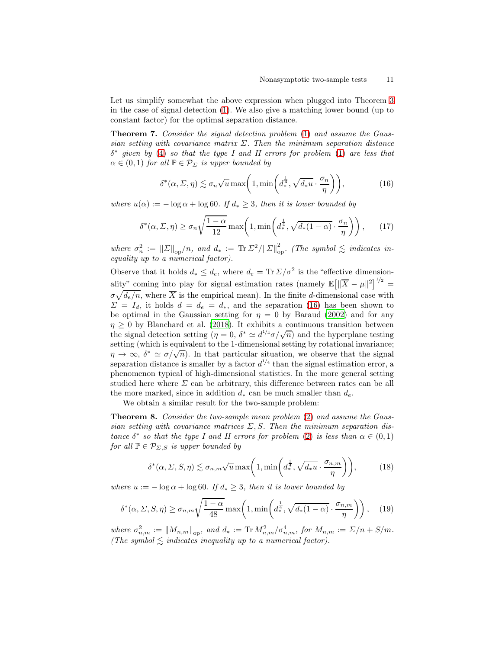Let us simplify somewhat the above expression when plugged into Theorem [3](#page-8-2) in the case of signal detection [\(1\)](#page-0-0). We also give a matching lower bound (up to constant factor) for the optimal separation distance.

Theorem 7. Consider the signal detection problem [\(1\)](#page-0-0) and assume the Gaussian setting with covariance matrix  $\Sigma$ . Then the minimum separation distance  $\delta^*$  given by [\(4\)](#page-6-1) so that the type I and II errors for problem [\(1\)](#page-0-0) are less that  $\alpha \in (0,1)$  for all  $\mathbb{P} \in \mathcal{P}_{\Sigma}$  is upper bounded by

<span id="page-10-3"></span><span id="page-10-2"></span><span id="page-10-0"></span>
$$
\delta^*(\alpha, \Sigma, \eta) \lesssim \sigma_n \sqrt{u} \max\left(1, \min\left(d_*^{\frac{1}{4}}, \sqrt{d_* u} \cdot \frac{\sigma_n}{\eta}\right)\right),\tag{16}
$$

where  $u(\alpha) := -\log \alpha + \log 60$ . If  $d_* \geq 3$ , then it is lower bounded by

$$
\delta^*(\alpha, \Sigma, \eta) \ge \sigma_n \sqrt{\frac{1-\alpha}{12}} \max\left(1, \min\left(d_*^{\frac{1}{4}}, \sqrt{d_*(1-\alpha)} \cdot \frac{\sigma_n}{\eta}\right)\right),\qquad(17)
$$

where  $\sigma_n^2 := ||\Sigma||_{op}/n$ , and  $d_* := \text{Tr }\Sigma^2 / ||\Sigma||_{op}^2$ . (The symbol  $\lesssim$  indicates inequality up to a numerical factor).

Observe that it holds  $d_* \leq d_e$ , where  $d_e = \text{Tr} \Sigma / \sigma^2$  is the "effective dimensionality" coming into play for signal estimation rates (namely  $\mathbb{E}[\|\overline{X} - \mu\|^2]^{1/2} =$  $\sigma \sqrt{d_e/n}$ , where  $\overline{X}$  is the empirical mean). In the finite d-dimensional case with  $\Sigma = I_d$ , it holds  $d = d_e = d_*$ , and the separation [\(16\)](#page-10-2) has been shown to be optimal in the Gaussian setting for  $\eta = 0$  by Baraud [\(2002\)](#page-37-0) and for any  $\eta \geq 0$  by Blanchard et al. [\(2018](#page-37-2)). It exhibits a continuous transition between the signal detection setting  $(\eta = 0, \delta^* \simeq d^{1/4}\sigma/\sqrt{n})$  and the hyperplane testing setting (which is equivalent to the 1-dimensional setting by rotational invariance;  $\eta \to \infty$ ,  $\delta^* \simeq \sigma/\sqrt{n}$ ). In that particular situation, we observe that the signal separation distance is smaller by a factor  $d^{1/4}$  than the signal estimation error, a phenomenon typical of high-dimensional statistics. In the more general setting studied here where  $\Sigma$  can be arbitrary, this difference between rates can be all the more marked, since in addition  $d_*$  can be much smaller than  $d_e$ .

We obtain a similar result for the two-sample problem:

Theorem 8. Consider the two-sample mean problem [\(2\)](#page-1-0) and assume the Gaussian setting with covariance matrices  $\Sigma$ , S. Then the minimum separation distance  $\delta^*$  so that the type I and II errors for problem [\(2\)](#page-1-0) is less than  $\alpha \in (0,1)$ for all  $\mathbb{P} \in \mathcal{P}_{\Sigma,S}$  is upper bounded by

<span id="page-10-4"></span><span id="page-10-1"></span>
$$
\delta^*(\alpha, \Sigma, S, \eta) \lesssim \sigma_{n,m} \sqrt{u} \max\left(1, \min\left(d_*^{\frac{1}{4}}, \sqrt{d_* u} \cdot \frac{\sigma_{n,m}}{\eta}\right)\right),\tag{18}
$$

where  $u := -\log \alpha + \log 60$ . If  $d_* \geq 3$ , then it is lower bounded by

$$
\delta^*(\alpha, \Sigma, S, \eta) \ge \sigma_{n,m} \sqrt{\frac{1-\alpha}{48}} \max\left(1, \min\left(d_*^{\frac{1}{4}}, \sqrt{d_*(1-\alpha)} \cdot \frac{\sigma_{n,m}}{\eta}\right)\right), \quad (19)
$$

where  $\sigma_{n,m}^2 := ||M_{n,m}||_{op}$ , and  $d_* := \text{Tr } M_{n,m}^2 / \sigma_{n,m}^4$ , for  $M_{n,m} := \sum_{n=1}^{\infty} \frac{1}{n+1}$ . (The symbol  $\leq$  indicates inequality up to a numerical factor).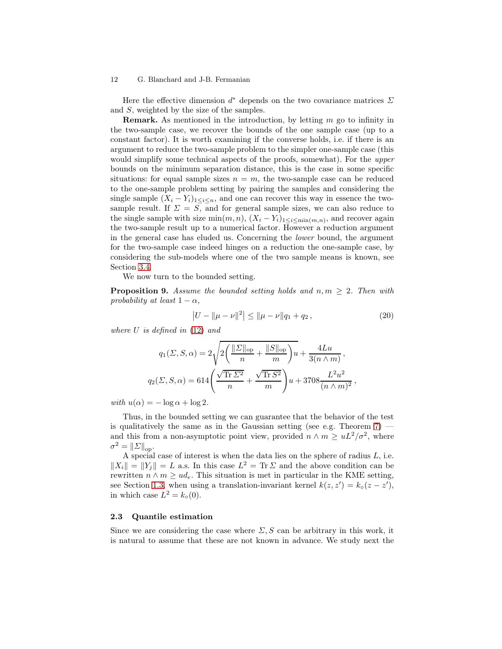Here the effective dimension  $d^*$  depends on the two covariance matrices  $\Sigma$ and S, weighted by the size of the samples.

**Remark.** As mentioned in the introduction, by letting  $m$  go to infinity in the two-sample case, we recover the bounds of the one sample case (up to a constant factor). It is worth examining if the converse holds, i.e. if there is an argument to reduce the two-sample problem to the simpler one-sample case (this would simplify some technical aspects of the proofs, somewhat). For the upper bounds on the minimum separation distance, this is the case in some specific situations: for equal sample sizes  $n = m$ , the two-sample case can be reduced to the one-sample problem setting by pairing the samples and considering the single sample  $(X_i - Y_i)_{1 \leq i \leq n}$ , and one can recover this way in essence the twosample result. If  $\Sigma = S$ , and for general sample sizes, we can also reduce to the single sample with size  $\min(m, n)$ ,  $(X_i - Y_i)_{1 \leq i \leq \min(m, n)}$ , and recover again the two-sample result up to a numerical factor. However a reduction argument in the general case has eluded us. Concerning the lower bound, the argument for the two-sample case indeed hinges on a reduction the one-sample case, by considering the sub-models where one of the two sample means is known, see Section [3.4.](#page-24-0)

<span id="page-11-1"></span>We now turn to the bounded setting.

**Proposition 9.** Assume the bounded setting holds and  $n, m \geq 2$ . Then with probability at least  $1 - \alpha$ ,

$$
|U - ||\mu - \nu||^2| \le ||\mu - \nu||q_1 + q_2,\tag{20}
$$

where  $U$  is defined in  $(12)$  and

$$
q_1(\Sigma, S, \alpha) = 2\sqrt{2\left(\frac{\|\Sigma\|_{\text{op}}}{n} + \frac{\|S\|_{\text{op}}}{m}\right)u} + \frac{4Lu}{3(n \wedge m)},
$$
  

$$
q_2(\Sigma, S, \alpha) = 614\left(\frac{\sqrt{\text{Tr}\,\Sigma^2}}{n} + \frac{\sqrt{\text{Tr}\,S^2}}{m}\right)u + 3708\frac{L^2u^2}{(n \wedge m)^2},
$$

with  $u(\alpha) = -\log \alpha + \log 2$ .

Thus, in the bounded setting we can guarantee that the behavior of the test is qualitatively the same as in the Gaussian setting (see e.g. Theorem  $7$ ) and this from a non-asymptotic point view, provided  $n \wedge m \geq uL^2/\sigma^2$ , where  $\sigma^2 = ||\Sigma||_{op}.$ 

A special case of interest is when the data lies on the sphere of radius  $L$ , i.e.  $||X_i|| = ||Y_j|| = L$  a.s. In this case  $L^2 = \text{Tr } \Sigma$  and the above condition can be rewritten  $n \wedge m \geq ud_e$ . This situation is met in particular in the KME setting, see Section [1.3,](#page-5-1) when using a translation-invariant kernel  $k(z, z') = k<sub>o</sub>(z - z')$ , in which case  $L^2 = k_0(0)$ .

## <span id="page-11-0"></span>2.3 Quantile estimation

Since we are considering the case where  $\Sigma$ , S can be arbitrary in this work, it is natural to assume that these are not known in advance. We study next the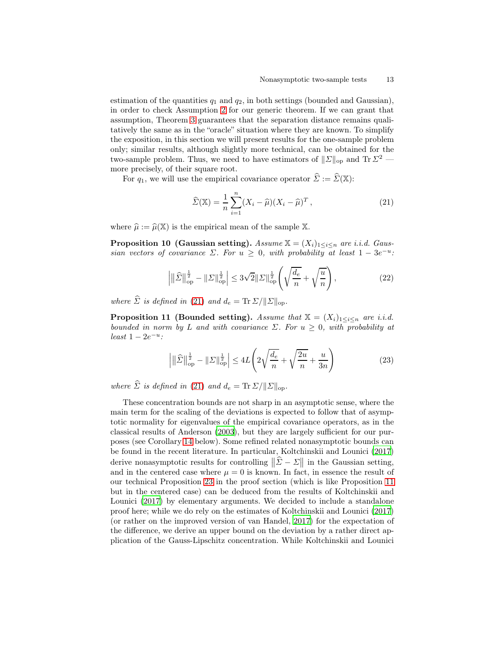estimation of the quantities  $q_1$  and  $q_2$ , in both settings (bounded and Gaussian), in order to check Assumption [2](#page-8-1) for our generic theorem. If we can grant that assumption, Theorem [3](#page-8-2) guarantees that the separation distance remains qualitatively the same as in the "oracle" situation where they are known. To simplify the exposition, in this section we will present results for the one-sample problem only; similar results, although slightly more technical, can be obtained for the two-sample problem. Thus, we need to have estimators of  $\|\Sigma\|_{op}$  and Tr  $\Sigma^2$  more precisely, of their square root.

For  $q_1$ , we will use the empirical covariance operator  $\widehat{\Sigma} := \widehat{\Sigma}(\mathbb{X})$ :

<span id="page-12-0"></span>
$$
\widehat{\Sigma}(\mathbb{X}) = \frac{1}{n} \sum_{i=1}^{n} (X_i - \widehat{\mu})(X_i - \widehat{\mu})^T, \qquad (21)
$$

<span id="page-12-3"></span>where  $\hat{\mu} := \hat{\mu}(\mathbb{X})$  is the empirical mean of the sample X.

**Proposition 10 (Gaussian setting).** Assume  $\mathbb{X} = (X_i)_{1 \leq i \leq n}$  are i.i.d. Gaussian vectors of covariance  $\Sigma$ . For  $u \geq 0$ , with probability at least  $1 - 3e^{-u}$ .

$$
\left| \|\hat{\Sigma}\|_{\text{op}}^{\frac{1}{2}} - \|\Sigma\|_{\text{op}}^{\frac{1}{2}} \right| \le 3\sqrt{2} \|\Sigma\|_{\text{op}}^{\frac{1}{2}} \left( \sqrt{\frac{d_e}{n}} + \sqrt{\frac{u}{n}} \right),\tag{22}
$$

where  $\hat{\Sigma}$  is defined in [\(21\)](#page-12-0) and  $d_e = \text{Tr} \Sigma / ||\Sigma||_{\text{on}}$ .

<span id="page-12-1"></span>**Proposition 11 (Bounded setting).** Assume that  $\mathbb{X} = (X_i)_{1 \leq i \leq n}$  are i.i.d. bounded in norm by L and with covariance  $\Sigma$ . For  $u \geq 0$ , with probability at  $least 1-2e^{-u}$ :

<span id="page-12-2"></span>
$$
\left| \left\| \widehat{\Sigma} \right\|_{\text{op}}^{\frac{1}{2}} - \left\| \Sigma \right\|_{\text{op}}^{\frac{1}{2}} \right| \le 4L \left( 2\sqrt{\frac{d_e}{n}} + \sqrt{\frac{2u}{n}} + \frac{u}{3n} \right) \tag{23}
$$

where  $\hat{\Sigma}$  is defined in [\(21\)](#page-12-0) and  $d_e = \text{Tr} \Sigma / ||\Sigma||_{op}$ .

These concentration bounds are not sharp in an asymptotic sense, where the main term for the scaling of the deviations is expected to follow that of asymptotic normality for eigenvalues of the empirical covariance operators, as in the classical results of Anderson [\(2003\)](#page-37-5), but they are largely sufficient for our purposes (see Corollary [14](#page-13-0) below). Some refined related nonasymptotic bounds can be found in the recent literature. In particular, Koltchinskii and Lounici [\(2017\)](#page-38-13) derive nonasymptotic results for controlling  $\|\hat{\Sigma} - \Sigma\|$  in the Gaussian setting, and in the centered case where  $\mu = 0$  is known. In fact, in essence the result of our technical Proposition [23](#page-26-0) in the proof section (which is like Proposition [11](#page-12-1) but in the centered case) can be deduced from the results of Koltchinskii and Lounici [\(2017](#page-38-13)) by elementary arguments. We decided to include a standalone proof here; while we do rely on the estimates of Koltchinskii and Lounici [\(2017\)](#page-38-13) (or rather on the improved version of van Handel, [2017](#page-39-10)) for the expectation of the difference, we derive an upper bound on the deviation by a rather direct application of the Gauss-Lipschitz concentration. While Koltchinskii and Lounici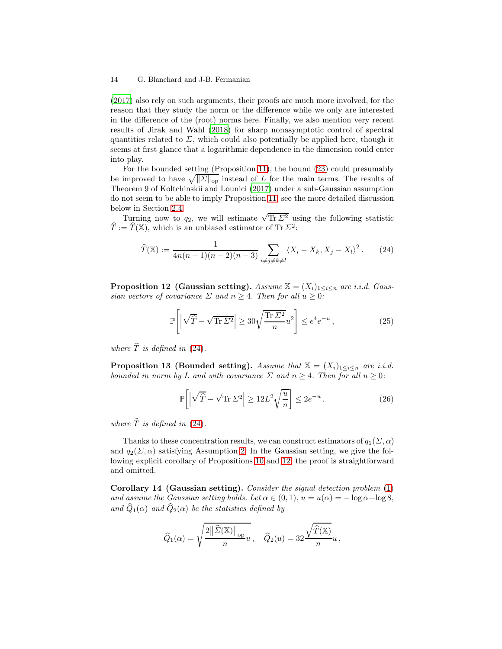[\(2017\)](#page-38-13) also rely on such arguments, their proofs are much more involved, for the reason that they study the norm or the difference while we only are interested in the difference of the (root) norms here. Finally, we also mention very recent results of Jirak and Wahl [\(2018\)](#page-38-14) for sharp nonasymptotic control of spectral quantities related to  $\Sigma$ , which could also potentially be applied here, though it seems at first glance that a logarithmic dependence in the dimension could enter into play.

For the bounded setting (Proposition [11\)](#page-12-1), the bound [\(23\)](#page-12-2) could presumably be improved to have  $\sqrt{\|\Sigma\|_{\text{op}}}$  instead of L for the main terms. The results of Theorem 9 of Koltchinskii and Lounici [\(2017\)](#page-38-13) under a sub-Gaussian assumption do not seem to be able to imply Proposition [11,](#page-12-1) see the more detailed discussion below in Section [2.4.](#page-14-0)

Turning now to  $q_2$ , we will estimate  $\sqrt{\text{Tr } \Sigma^2}$  using the following statistic  $\hat{T} := \hat{T}(\mathbb{X})$ , which is an unbiased estimator of Tr  $\Sigma^2$ :

$$
\widehat{T}(\mathbb{X}) := \frac{1}{4n(n-1)(n-2)(n-3)} \sum_{i \neq j \neq k \neq l} \langle X_i - X_k, X_j - X_l \rangle^2.
$$
 (24)

<span id="page-13-2"></span>**Proposition 12 (Gaussian setting).** Assume  $\mathbb{X} = (X_i)_{1 \leq i \leq n}$  are i.i.d. Gaussian vectors of covariance  $\Sigma$  and  $n \geq 4$ . Then for all  $u \geq 0$ :

<span id="page-13-1"></span>
$$
\mathbb{P}\left[\left|\sqrt{\hat{T}} - \sqrt{\text{Tr}\,\Sigma^2}\right| \ge 30\sqrt{\frac{\text{Tr}\,\Sigma^2}{n}}u^2\right] \le e^4 e^{-u},\tag{25}
$$

<span id="page-13-3"></span>where  $\widehat{T}$  is defined in [\(24\)](#page-13-1).

**Proposition 13 (Bounded setting).** Assume that  $\mathbb{X} = (X_i)_{1 \leq i \leq n}$  are i.i.d. bounded in norm by L and with covariance  $\Sigma$  and  $n \geq 4$ . Then for all  $u \geq 0$ :

$$
\mathbb{P}\bigg[\Big|\sqrt{\hat{T}} - \sqrt{\text{Tr}\,\Sigma^2}\Big| \ge 12L^2\sqrt{\frac{u}{n}}\bigg] \le 2e^{-u} \,. \tag{26}
$$

where  $\widehat{T}$  is defined in [\(24\)](#page-13-1).

Thanks to these concentration results, we can construct estimators of  $q_1(\Sigma, \alpha)$ and  $q_2(\Sigma, \alpha)$  satisfying Assumption [2.](#page-8-1) In the Gaussian setting, we give the following explicit corollary of Propositions [10](#page-12-3) and [12;](#page-13-2) the proof is straightforward and omitted.

<span id="page-13-0"></span>Corollary 14 (Gaussian setting). Consider the signal detection problem [\(1\)](#page-0-0) and assume the Gaussian setting holds. Let  $\alpha \in (0,1)$ ,  $u = u(\alpha) = -\log \alpha + \log 8$ , and  $\hat{Q}_1(\alpha)$  and  $\hat{Q}_2(\alpha)$  be the statistics defined by

$$
\widehat{Q}_1(\alpha) = \sqrt{\frac{2\|\widehat{\mathcal{L}}(\mathbb{X})\|_{\mathrm{op}}}{n}}u\,,\quad \widehat{Q}_2(u) = 32\frac{\sqrt{\widehat{T}(\mathbb{X})}}{n}u\,,
$$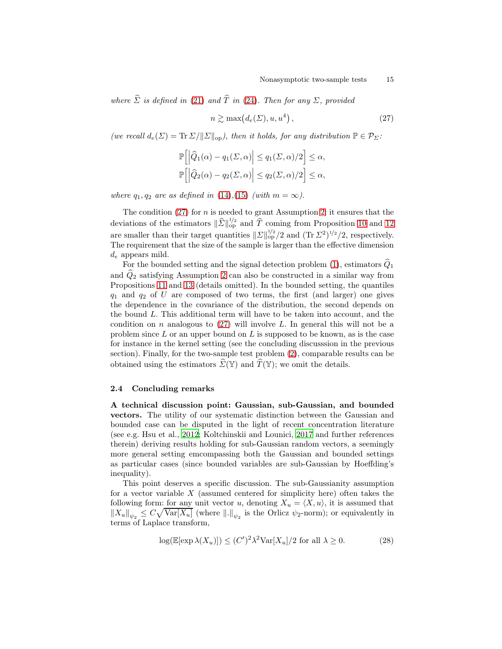where  $\hat{\Sigma}$  is defined in [\(21\)](#page-12-0) and  $\hat{T}$  in [\(24\)](#page-13-1). Then for any  $\Sigma$ , provided

<span id="page-14-1"></span>
$$
n \gtrsim \max\bigl(d_e(\Sigma), u, u^4\bigr) \,, \tag{27}
$$

(we recall  $d_e(\Sigma) = \text{Tr} \Sigma / ||\Sigma||_{op}$ ), then it holds, for any distribution  $\mathbb{P} \in \mathcal{P}_{\Sigma}$ :

$$
\mathbb{P}\left[\left|\widehat{Q}_{1}(\alpha)-q_{1}(\Sigma,\alpha)\right| \leq q_{1}(\Sigma,\alpha)/2\right] \leq \alpha,
$$
  

$$
\mathbb{P}\left[\left|\widehat{Q}_{2}(\alpha)-q_{2}(\Sigma,\alpha)\right| \leq q_{2}(\Sigma,\alpha)/2\right] \leq \alpha,
$$

where  $q_1, q_2$  are as defined in [\(14\)](#page-9-3),[\(15\)](#page-9-4) (with  $m = \infty$ ).

The condition  $(27)$  for n is needed to grant Assumption [2:](#page-8-1) it ensures that the deviations of the estimators  $\|\widehat{\mathcal{L}}\|_{\text{op}}^{1/2}$  and  $\widehat{T}$  coming from Proposition [10](#page-12-3) and [12](#page-13-2) are smaller than their target quantities  $||\Sigma||_{op}^{1/2}/2$  and  $(\text{Tr }\Sigma^2)^{1/2}/2$ , respectively. The requirement that the size of the sample is larger than the effective dimension  $d_e$  appears mild.

For the bounded setting and the signal detection problem  $(1)$ , estimators  $\hat{Q}_1$ and  $\ddot{Q}_2$  satisfying Assumption [2](#page-8-1) can also be constructed in a similar way from Propositions [11](#page-12-1) and [13](#page-13-3) (details omitted). In the bounded setting, the quantiles  $q_1$  and  $q_2$  of U are composed of two terms, the first (and larger) one gives the dependence in the covariance of the distribution, the second depends on the bound L. This additional term will have to be taken into account, and the condition on n analogous to  $(27)$  will involve L. In general this will not be a problem since  $L$  or an upper bound on  $L$  is supposed to be known, as is the case for instance in the kernel setting (see the concluding discusssion in the previous section). Finally, for the two-sample test problem [\(2\)](#page-1-0), comparable results can be obtained using the estimators  $\widehat{\Sigma}(\mathbb{Y})$  and  $\widehat{T}(\mathbb{Y})$ ; we omit the details.

## 2.4 Concluding remarks

<span id="page-14-0"></span>A technical discussion point: Gaussian, sub-Gaussian, and bounded vectors. The utility of our systematic distinction between the Gaussian and bounded case can be disputed in the light of recent concentration literature (see e.g. Hsu et al., [2012](#page-38-15); Koltchinskii and Lounici, [2017](#page-38-13) and further references therein) deriving results holding for sub-Gaussian random vectors, a seemingly more general setting emcompassing both the Gaussian and bounded settings as particular cases (since bounded variables are sub-Gaussian by Hoeffding's inequality).

This point deserves a specific discussion. The sub-Gaussianity assumption for a vector variable  $X$  (assumed centered for simplicity here) often takes the following form: for any unit vector u, denoting  $X_u = \langle X, u \rangle$ , it is assumed that  $||X_u||_{\psi_2} \leq C \sqrt{\text{Var}[X_u]}$  (where  $||.||_{\psi_2}$  is the Orlicz  $\psi_2$ -norm); or equivalently in terms of Laplace transform,

<span id="page-14-2"></span>
$$
\log(\mathbb{E}[\exp \lambda(X_u)]) \le (C')^2 \lambda^2 \text{Var}[X_u]/2 \text{ for all } \lambda \ge 0.
$$
 (28)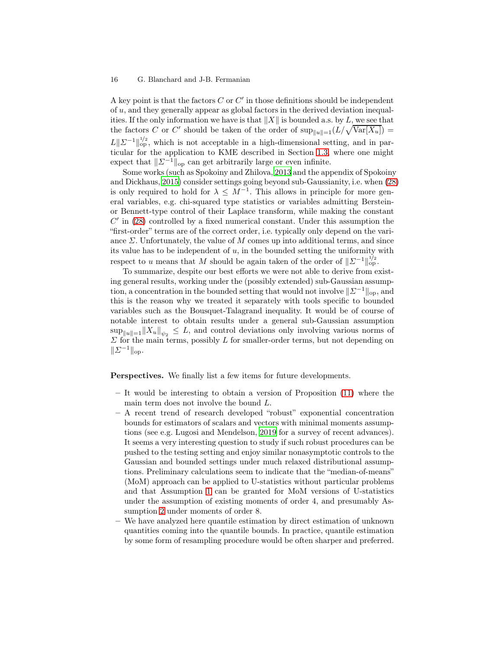A key point is that the factors  $C$  or  $C'$  in those definitions should be independent of u, and they generally appear as global factors in the derived deviation inequalities. If the only information we have is that  $||X||$  is bounded a.s. by L, we see that the factors C or C' should be taken of the order of  $\sup_{\|u\|=1}(L/\sqrt{\text{Var}[X_u]})=$  $L\|\Sigma^{-1}\|_{\text{op}}^{1/2}$ , which is not acceptable in a high-dimensional setting, and in particular for the application to KME described in Section [1.3,](#page-5-1) where one might expect that  $||\Sigma^{-1}||_{op}$  can get arbitrarily large or even infinite.

Some works (such as Spokoiny and Zhilova, [2013](#page-39-6) and the appendix of Spokoiny and Dickhaus, [2015\)](#page-39-3) consider settings going beyond sub-Gaussianity, i.e. when [\(28\)](#page-14-2) is only required to hold for  $\lambda \leq M^{-1}$ . This allows in principle for more general variables, e.g. chi-squared type statistics or variables admitting Bersteinor Bennett-type control of their Laplace transform, while making the constant  $C'$  in  $(28)$  controlled by a fixed numerical constant. Under this assumption the "first-order" terms are of the correct order, i.e. typically only depend on the variance  $\Sigma$ . Unfortunately, the value of  $M$  comes up into additional terms, and since its value has to be independent of  $u$ , in the bounded setting the uniformity with respect to u means that M should be again taken of the order of  $||\Sigma^{-1}||_{op}^{1/2}$ .

To summarize, despite our best efforts we were not able to derive from existing general results, working under the (possibly extended) sub-Gaussian assumption, a concentration in the bounded setting that would not involve  $\|\Sigma^{-1}\|_{op}$ , and this is the reason why we treated it separately with tools specific to bounded variables such as the Bousquet-Talagrand inequality. It would be of course of notable interest to obtain results under a general sub-Gaussian assumption  $\sup_{\|u\|=1} \|X_u\|_{\psi_2} \leq L$ , and control deviations only involving various norms of  $\Sigma$  for the main terms, possibly L for smaller-order terms, but not depending on  $||\Sigma^{-1}||_{\text{op}}.$ 

Perspectives. We finally list a few items for future developments.

- It would be interesting to obtain a version of Proposition [\(11\)](#page-12-1) where the main term does not involve the bound L.
- A recent trend of research developed "robust" exponential concentration bounds for estimators of scalars and vectors with minimal moments assumptions (see e.g. Lugosi and Mendelson, [2019](#page-39-11) for a survey of recent advances). It seems a very interesting question to study if such robust procedures can be pushed to the testing setting and enjoy similar nonasymptotic controls to the Gaussian and bounded settings under much relaxed distributional assumptions. Preliminary calculations seem to indicate that the "median-of-means" (MoM) approach can be applied to U-statistics without particular problems and that Assumption [1](#page-8-0) can be granted for MoM versions of U-statistics under the assumption of existing moments of order 4, and presumably Assumption [2](#page-8-1) under moments of order 8.
- We have analyzed here quantile estimation by direct estimation of unknown quantities coming into the quantile bounds. In practice, quantile estimation by some form of resampling procedure would be often sharper and preferred.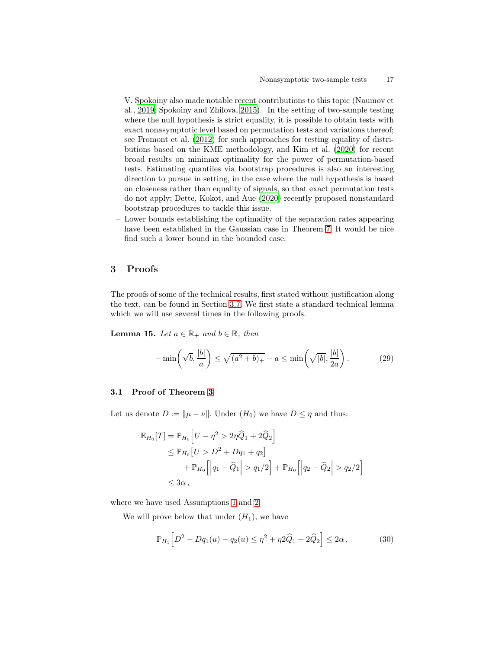V. Spokoiny also made notable recent contributions to this topic (Naumov et al., [2019](#page-39-12); Spokoiny and Zhilova, [2015\)](#page-39-13). In the setting of two-sample testing where the null hypothesis is strict equality, it is possible to obtain tests with exact nonasymptotic level based on permutation tests and variations thereof; see Fromont et al. [\(2012\)](#page-38-12) for such approaches for testing equality of distributions based on the KME methodology, and Kim et al. [\(2020\)](#page-38-16) for recent broad results on minimax optimality for the power of permutation-based tests. Estimating quantiles via bootstrap procedures is also an interesting direction to pursue in setting, in the case where the null hypothesis is based on closeness rather than equality of signals, so that exact permutation tests do not apply; Dette, Kokot, and Aue [\(2020](#page-38-7)) recently proposed nonstandard bootstrap procedures to tackle this issue.

– Lower bounds establishing the optimality of the separation rates appearing have been established in the Gaussian case in Theorem [7.](#page-10-0) It would be nice find such a lower bound in the bounded case.

## 3 Proofs

The proofs of some of the technical results, first stated without justification along the text, can be found in Section [3.7.](#page-33-0) We first state a standard technical lemma which we will use several times in the following proofs.

**Lemma 15.** Let  $a \in \mathbb{R}_+$  and  $b \in \mathbb{R}$ , then

<span id="page-16-3"></span><span id="page-16-2"></span>
$$
-\min\left(\sqrt{b}, \frac{|b|}{a}\right) \le \sqrt{(a^2 + b)_+} - a \le \min\left(\sqrt{|b|}, \frac{|b|}{2a}\right). \tag{29}
$$

## <span id="page-16-0"></span>3.1 Proof of Theorem [3](#page-8-2)

Let us denote  $D := ||\mu - \nu||$ . Under  $(H_0)$  we have  $D \leq \eta$  and thus:

$$
\mathbb{E}_{H_0}[T] = \mathbb{P}_{H_0}[U - \eta^2 > 2\eta \hat{Q}_1 + 2\hat{Q}_2] \n\leq \mathbb{P}_{H_0}[U > D^2 + Dq_1 + q_2] \n+ \mathbb{P}_{H_0}[[q_1 - \hat{Q}_1] > q_1/2] + \mathbb{P}_{H_0}[[q_2 - \hat{Q}_2] > q_2/2] \n\leq 3\alpha,
$$

where we have used Assumptions [1](#page-8-0) and [2.](#page-8-1)

We will prove below that under  $(H_1)$ , we have

<span id="page-16-1"></span>
$$
\mathbb{P}_{H_1} \Big[ D^2 - Dq_1(u) - q_2(u) \le \eta^2 + \eta^2 \widehat{Q}_1 + 2 \widehat{Q}_2 \Big] \le 2\alpha \,, \tag{30}
$$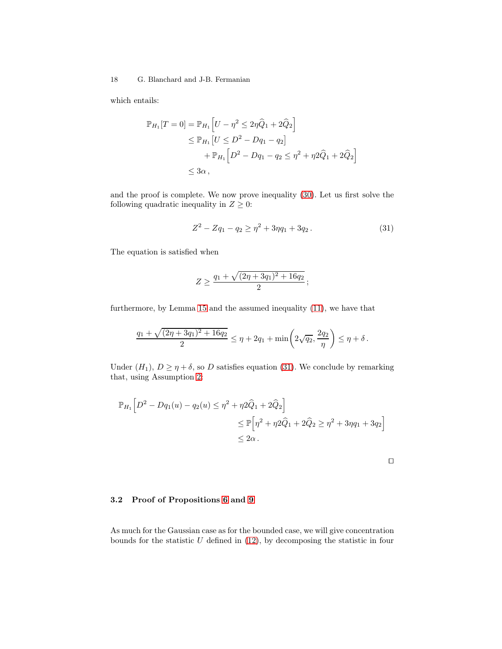which entails:

$$
\mathbb{P}_{H_1}[T=0] = \mathbb{P}_{H_1}\left[U - \eta^2 \le 2\eta \hat{Q}_1 + 2\hat{Q}_2\right] \n\le \mathbb{P}_{H_1}\left[U \le D^2 - Dq_1 - q_2\right] \n+ \mathbb{P}_{H_1}\left[D^2 - Dq_1 - q_2 \le \eta^2 + \eta 2\hat{Q}_1 + 2\hat{Q}_2\right] \n\le 3\alpha,
$$

and the proof is complete. We now prove inequality [\(30\)](#page-16-1). Let us first solve the following quadratic inequality in  $Z \geq 0$ :

<span id="page-17-0"></span>
$$
Z^2 - Zq_1 - q_2 \ge \eta^2 + 3\eta q_1 + 3q_2. \tag{31}
$$

The equation is satisfied when

$$
Z \ge \frac{q_1 + \sqrt{(2\eta + 3q_1)^2 + 16q_2}}{2};
$$

furthermore, by Lemma [15](#page-16-2) and the assumed inequality [\(11\)](#page-8-3), we have that

$$
\frac{q_1 + \sqrt{(2\eta + 3q_1)^2 + 16q_2}}{2} \le \eta + 2q_1 + \min\left(2\sqrt{q_2}, \frac{2q_2}{\eta}\right) \le \eta + \delta.
$$

Under  $(H_1)$ ,  $D \ge \eta + \delta$ , so D satisfies equation [\(31\)](#page-17-0). We conclude by remarking that, using Assumption [2:](#page-8-1)

$$
\mathbb{P}_{H_1} \left[ D^2 - Dq_1(u) - q_2(u) \le \eta^2 + \eta^2 \hat{Q}_1 + 2 \hat{Q}_2 \right]
$$
  
\n
$$
\le \mathbb{P} \left[ \eta^2 + \eta^2 \hat{Q}_1 + 2 \hat{Q}_2 \ge \eta^2 + 3\eta q_1 + 3q_2 \right]
$$
  
\n
$$
\le 2\alpha.
$$

| ۰ | ۰ |  |
|---|---|--|
|   |   |  |
|   |   |  |
|   |   |  |
|   |   |  |

## 3.2 Proof of Propositions [6](#page-9-1) and [9](#page-11-1)

As much for the Gaussian case as for the bounded case, we will give concentration bounds for the statistic  $U$  defined in  $(12)$ , by decomposing the statistic in four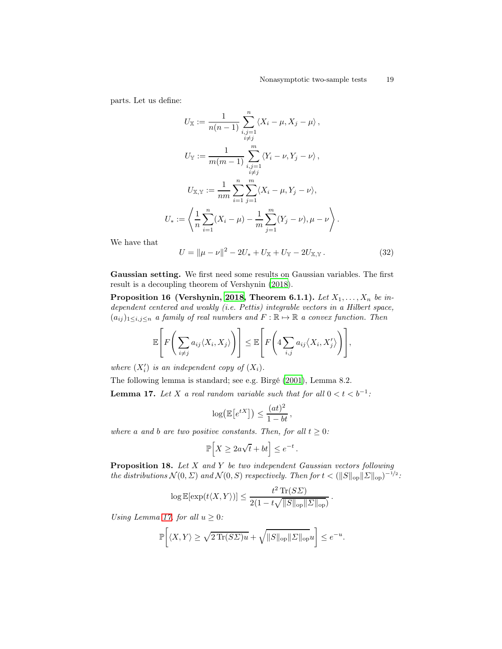parts. Let us define:

$$
U_{\mathbb{X}} := \frac{1}{n(n-1)} \sum_{\substack{i,j=1 \ i \neq j}}^n \langle X_i - \mu, X_j - \mu \rangle ,
$$
  
\n
$$
U_{\mathbb{Y}} := \frac{1}{m(m-1)} \sum_{\substack{i,j=1 \ i \neq j}}^m \langle Y_i - \nu, Y_j - \nu \rangle ,
$$
  
\n
$$
U_{\mathbb{X},\mathbb{Y}} := \frac{1}{nm} \sum_{i=1}^n \sum_{j=1}^m \langle X_i - \mu, Y_j - \nu \rangle ,
$$
  
\n
$$
U_* := \left\langle \frac{1}{n} \sum_{i=1}^n (X_i - \mu) - \frac{1}{m} \sum_{j=1}^m (Y_j - \nu), \mu - \nu \right\rangle .
$$

We have that

<span id="page-18-2"></span><span id="page-18-1"></span>
$$
U = \|\mu - \nu\|^2 - 2U_* + U_{\mathbb{X}} + U_{\mathbb{Y}} - 2U_{\mathbb{X},\mathbb{Y}}.
$$
 (32)

Gaussian setting. We first need some results on Gaussian variables. The first result is a decoupling theorem of Vershynin [\(2018](#page-39-14)).

Proposition 16 (Vershynin, [2018,](#page-39-14) Theorem 6.1.1). Let  $X_1, \ldots, X_n$  be independent centered and weakly (i.e. Pettis) integrable vectors in a Hilbert space,  $(a_{ij})_{1\leq i,j\leq n}$  a family of real numbers and  $F:\mathbb{R}\mapsto \mathbb{R}$  a convex function. Then

$$
\mathbb{E}\left[F\bigg(\sum_{i\neq j}a_{ij}\langle X_i,X_j\rangle\bigg)\right]\leq \mathbb{E}\left[F\bigg(4\sum_{i,j}a_{ij}\langle X_i,X_j'\rangle\bigg)\right],
$$

where  $(X'_i)$  is an independent copy of  $(X_i)$ .

The following lemma is standard; see e.g. Birgé [\(2001\)](#page-37-6), Lemma 8.2. **Lemma 17.** Let X a real random variable such that for all  $0 < t < b^{-1}$ :

$$
\log(\mathbb{E}\big[e^{tX}\big]\big) \le \frac{(at)^2}{1-bt},
$$

where a and b are two positive constants. Then, for all  $t \geq 0$ :

$$
\mathbb{P}\Big[X\geq 2a\sqrt{t}+bt\Big]\leq e^{-t}\,.
$$

<span id="page-18-3"></span>**Proposition 18.** Let  $X$  and  $Y$  be two independent Gaussian vectors following the distributions  $\mathcal{N}(0, \Sigma)$  and  $\mathcal{N}(0, S)$  respectively. Then for  $t < (||S||_{op} ||\Sigma||_{op})^{-1/2}$ :

<span id="page-18-0"></span>.

$$
\log \mathbb{E}[\exp(t\langle X, Y \rangle)] \le \frac{t^2 \operatorname{Tr}(S\Sigma)}{2(1 - t\sqrt{\|S\|_{\text{op}}\|\Sigma\|_{\text{op}}})}
$$

Using Lemma [17,](#page-18-0) for all  $u \geq 0$ :

$$
\mathbb{P}\bigg[\langle X, Y \rangle \ge \sqrt{2\operatorname{Tr}(S\Sigma)u} + \sqrt{\|S\|_{\text{op}}\|\Sigma\|_{\text{op}}}u\bigg] \le e^{-u}.
$$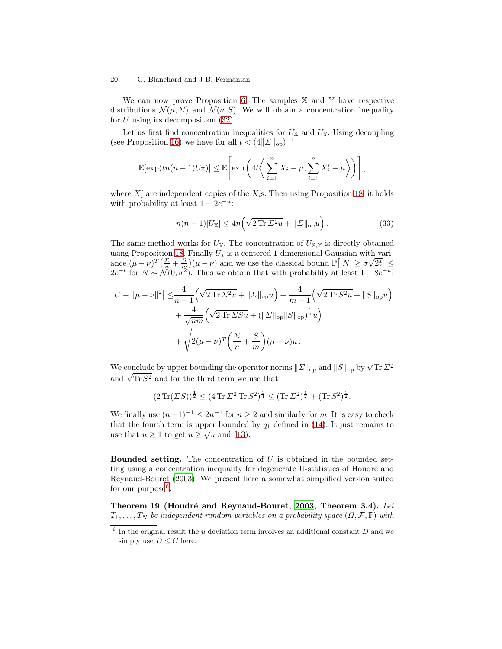We can now prove Proposition [6.](#page-9-1) The samples  $X$  and  $Y$  have respective distributions  $\mathcal{N}(\mu, \Sigma)$  and  $\mathcal{N}(\nu, S)$ . We will obtain a concentration inequality for  $U$  using its decomposition  $(32)$ .

Let us first find concentration inequalities for  $U_{\mathbb{X}}$  and  $U_{\mathbb{Y}}$ . Using decoupling (see Proposition [16\)](#page-18-2) we have for all  $t < (4||\Sigma||_{op})^{-1}$ :

$$
\mathbb{E}[\exp(tn(n-1)U_{\mathbb{X}})] \leq \mathbb{E}\left[\exp\left(4t\left\langle \sum_{i=1}^{n}X_{i}-\mu,\sum_{i=1}^{n}X'_{i}-\mu\right\rangle \right)\right],
$$

where  $X'_i$  are independent copies of the  $X_i$ s. Then using Proposition [18,](#page-18-3) it holds with probability at least  $1 - 2e^{-u}$ :

$$
n(n-1)|U_{\mathbb{X}}| \le 4n\left(\sqrt{2\operatorname{Tr}\Sigma^{2}u} + \|\Sigma\|_{\text{op}}u\right). \tag{33}
$$

The same method works for  $U_{\mathbb{Y}}$ . The concentration of  $U_{\mathbb{X},\mathbb{Y}}$  is directly obtained using Proposition [18.](#page-18-3) Finally  $U_*$  is a centered 1-dimensional Gaussian with variance  $(\mu - \nu)^T \left( \frac{\Sigma}{n} + \frac{S}{m} \right) (\mu - \nu)$  and we use the classical bound  $\mathbb{P}[|N| \ge \sigma \sqrt{2t}] \le$  $2e^{-t}$  for  $N \sim \mathcal{N}(0, \sigma^2)$ . Thus we obtain that with probability at least  $1 - 8e^{-u}$ .

$$
\begin{split} \left| U - \|\mu - \nu\|^2 \right| &\leq \!\frac{4}{n-1} \!\left( \sqrt{2 \operatorname{Tr} \Sigma^2 u} + \|\Sigma\|_{\mathrm{op}} u \right) + \frac{4}{m-1} \!\left( \sqrt{2 \operatorname{Tr} S^2 u} + \|S\|_{\mathrm{op}} u \right) \\ &+ \frac{4}{\sqrt{nm}} \!\left( \sqrt{2 \operatorname{Tr} \Sigma S u} + (\|\Sigma\|_{\mathrm{op}} \|S\|_{\mathrm{op}})^{\frac{1}{2}} u \right) \\ &+ \sqrt{2(\mu - \nu)^T \left( \frac{\Sigma}{n} + \frac{S}{m} \right) (\mu - \nu) u} \,. \end{split}
$$

We conclude by upper bounding the operator norms  $\|\varSigma\|_{\text{op}}$  and  $\|S\|_{\text{op}}$  by  $\sqrt{\text{Tr}\,\varSigma^2}$ and  $\sqrt{\text{Tr } S^2}$  and for the third term we use that

$$
(2 \operatorname{Tr}(\Sigma S))^{\frac{1}{2}} \le (4 \operatorname{Tr} \Sigma^2 \operatorname{Tr} S^2)^{\frac{1}{4}} \le (\operatorname{Tr} \Sigma^2)^{\frac{1}{2}} + (\operatorname{Tr} S^2)^{\frac{1}{2}}.
$$

We finally use  $(n-1)^{-1} \leq 2n^{-1}$  for  $n \geq 2$  and similarly for m. It is easy to check that the fourth term is upper bounded by  $q_1$  defined in [\(14\)](#page-9-3). It just remains to use that  $u \ge 1$  to get  $u \ge \sqrt{u}$  and [\(13\)](#page-9-5).

**Bounded setting.** The concentration of  $U$  is obtained in the bounded setting using a concentration inequality for degenerate U-statistics of Houdré and Reynaud-Bouret [\(2003\)](#page-38-17). We present here a somewhat simplified version suited for our purpose<sup> $6$ </sup>.

<span id="page-19-1"></span>Theorem 19 (Houdré and Reynaud-Bouret, [2003,](#page-38-17) Theorem 3.4). Let  $T_1, \ldots, T_N$  be independent random variables on a probability space  $(\Omega, \mathcal{F}, \mathbb{P})$  with

<span id="page-19-0"></span> $6$  In the original result the *u* deviation term involves an additional constant *D* and we simply use  $D \leq C$  here.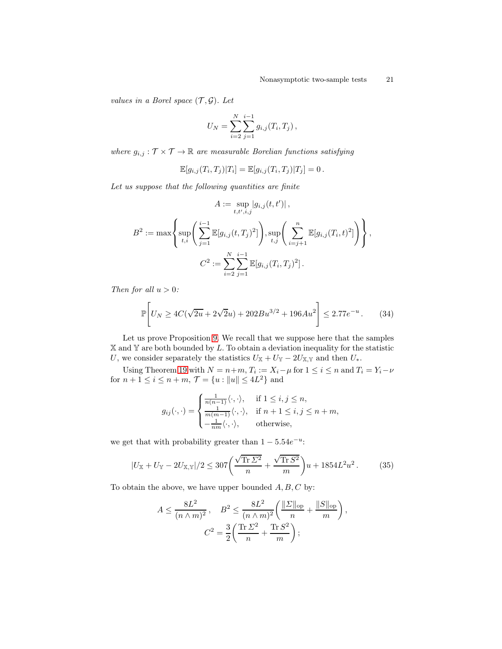values in a Borel space  $(\mathcal{T}, \mathcal{G})$ . Let

$$
U_N = \sum_{i=2}^N \sum_{j=1}^{i-1} g_{i,j}(T_i, T_j),
$$

where  $g_{i,j} : \mathcal{T} \times \mathcal{T} \to \mathbb{R}$  are measurable Borelian functions satisfying

$$
\mathbb{E}[g_{i,j}(T_i,T_j)|T_i] = \mathbb{E}[g_{i,j}(T_i,T_j)|T_j] = 0.
$$

Let us suppose that the following quantities are finite

$$
A := \sup_{t, t', i, j} |g_{i,j}(t, t')|,
$$
  

$$
B^{2} := \max \left\{ \sup_{t, i} \left( \sum_{j=1}^{i-1} \mathbb{E}[g_{i,j}(t, T_{j})^{2}] \right), \sup_{t, j} \left( \sum_{i=j+1}^{n} \mathbb{E}[g_{i,j}(T_{i}, t)^{2}] \right) \right\},
$$
  

$$
C^{2} := \sum_{i=2}^{N} \sum_{j=1}^{i-1} \mathbb{E}[g_{i,j}(T_{i}, T_{j})^{2}].
$$

Then for all  $u > 0$ :

$$
\mathbb{P}\left[U_N \ge 4C(\sqrt{2u} + 2\sqrt{2}u) + 202Bu^{3/2} + 196Au^2\right] \le 2.77e^{-u}.
$$
 (34)

Let us prove Proposition [9.](#page-11-1) We recall that we suppose here that the samples  $X$  and  $Y$  are both bounded by  $L$ . To obtain a deviation inequality for the statistic U, we consider separately the statistics  $U_{\mathbb{X}} + U_{\mathbb{Y}} - 2U_{\mathbb{X},\mathbb{Y}}$  and then  $U_*$ .

Using Theorem [19](#page-19-1) with  $N = n+m$ ,  $T_i := X_i - \mu$  for  $1 \leq i \leq n$  and  $T_i = Y_i - \nu$ for  $n + 1 \le i \le n + m$ ,  $\mathcal{T} = \{u : ||u|| \le 4L^2\}$  and

$$
g_{ij}(\cdot,\cdot) = \begin{cases} \frac{1}{n(n-1)}\langle \cdot,\cdot \rangle, & \text{if } 1 \leq i, j \leq n, \\ \frac{1}{m(m-1)}\langle \cdot,\cdot \rangle, & \text{if } n+1 \leq i, j \leq n+m, \\ -\frac{1}{nm}\langle \cdot,\cdot \rangle, & \text{otherwise,} \end{cases}
$$

we get that with probability greater than  $1 - 5.54e^{-u}$ :

$$
|U_{\mathbb{X}} + U_{\mathbb{Y}} - 2U_{\mathbb{X},\mathbb{Y}}|/2 \le 307 \left(\frac{\sqrt{\text{Tr}\,\Sigma^2}}{n} + \frac{\sqrt{\text{Tr}\,S^2}}{m}\right)u + 1854L^2u^2.
$$
 (35)

<span id="page-20-0"></span>,

To obtain the above, we have upper bounded  $A, B, C$  by:

$$
A \le \frac{8L^2}{(n \wedge m)^2}, \quad B^2 \le \frac{8L^2}{(n \wedge m)^2} \left( \frac{\|\Sigma\|_{\text{op}}}{n} + \frac{\|S\|_{\text{op}}}{m} \right)
$$

$$
C^2 = \frac{3}{2} \left( \frac{\text{Tr } \Sigma^2}{n} + \frac{\text{Tr } S^2}{m} \right);
$$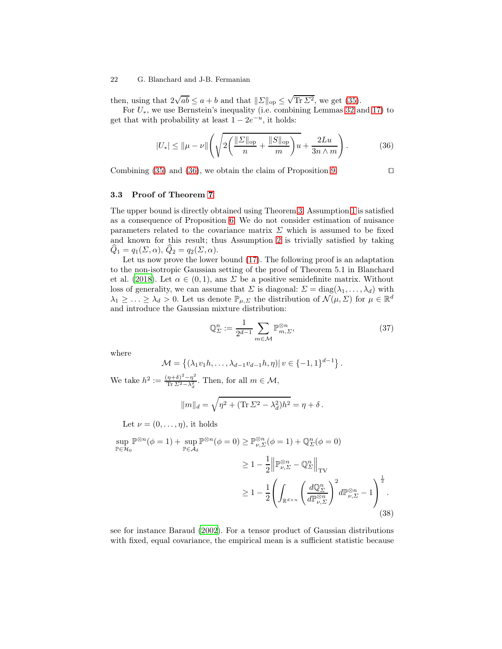then, using that  $2\sqrt{ab} \le a+b$  and that  $||\Sigma||_{op} \le \sqrt{\text{Tr }\Sigma^2}$ , we get [\(35\)](#page-20-0).

For  $U_*$ , we use Bernstein's inequality (i.e. combining Lemmas [32](#page-32-0) and [17\)](#page-18-0) to get that with probability at least  $1 - 2e^{-u}$ , it holds:

<span id="page-21-0"></span>
$$
|U_*| \le ||\mu - \nu|| \left( \sqrt{2\left(\frac{||\Sigma||_{\text{op}}}{n} + \frac{||S||_{\text{op}}}{m}\right)u} + \frac{2Lu}{3n \wedge m} \right). \tag{36}
$$

Combining [\(35\)](#page-20-0) and [\(36\)](#page-21-0), we obtain the claim of Proposition [9.](#page-11-1) □

## 3.3 Proof of Theorem [7](#page-10-0)

The upper bound is directly obtained using Theorem [3.](#page-8-2) Assumption [1](#page-8-0) is satisfied as a consequence of Proposition [6.](#page-9-1) We do not consider estimation of nuisance parameters related to the covariance matrix  $\Sigma$  which is assumed to be fixed and known for this result; thus Assumption [2](#page-8-1) is trivially satisfied by taking  $\widehat{Q}_1 = q_1(\Sigma, \alpha), \widehat{Q}_2 = q_2(\Sigma, \alpha).$ 

Let us now prove the lower bound [\(17\)](#page-10-3). The following proof is an adaptation to the non-isotropic Gaussian setting of the proof of Theorem 5.1 in Blanchard et al. [\(2018\)](#page-37-2). Let  $\alpha \in (0,1)$ , ans  $\Sigma$  be a positive semidefinite matrix. Without loss of generality, we can assume that  $\Sigma$  is diagonal:  $\Sigma = \text{diag}(\lambda_1, \ldots, \lambda_d)$  with  $\lambda_1 \geq \ldots \geq \lambda_d > 0$ . Let us denote  $\mathbb{P}_{\mu,\Sigma}$  the distribution of  $\mathcal{N}(\mu,\Sigma)$  for  $\mu \in \mathbb{R}^d$ and introduce the Gaussian mixture distribution:

<span id="page-21-2"></span>
$$
\mathbb{Q}_{\Sigma}^{n} := \frac{1}{2^{d-1}} \sum_{m \in \mathcal{M}} \mathbb{P}_{m,\Sigma}^{\otimes n},\tag{37}
$$

where

$$
\mathcal{M} = \{ (\lambda_1 v_1 h, \dots, \lambda_{d-1} v_{d-1} h, \eta) | v \in \{-1, 1\}^{d-1} \}.
$$

We take  $h^2 := \frac{(\eta + \delta)^2 - \eta^2}{\text{Tr}\ \Sigma^2 - \lambda^2}$  $\frac{\eta + \sigma}{\text{Tr} \Sigma^2 - \lambda_d^2}$ . Then, for all  $m \in \mathcal{M}$ ,

<span id="page-21-1"></span>
$$
||m||_d = \sqrt{\eta^2 + (\text{Tr}\,\Sigma^2 - \lambda_d^2)h^2} = \eta + \delta.
$$

Let  $\nu = (0, \ldots, \eta)$ , it holds

$$
\sup_{\mathbb{P}\in\mathcal{H}_0} \mathbb{P}^{\otimes n}(\phi = 1) + \sup_{\mathbb{P}\in\mathcal{A}_{\delta}} \mathbb{P}^{\otimes n}(\phi = 0) \ge \mathbb{P}_{\nu,\Sigma}^{\otimes n}(\phi = 1) + \mathbb{Q}_{\Sigma}^n(\phi = 0)
$$
  
\n
$$
\ge 1 - \frac{1}{2} \left\| \mathbb{P}_{\nu,\Sigma}^{\otimes n} - \mathbb{Q}_{\Sigma}^n \right\|_{\text{TV}}
$$
  
\n
$$
\ge 1 - \frac{1}{2} \left( \int_{\mathbb{R}^{d\times n}} \left( \frac{d\mathbb{Q}_{\Sigma}^n}{d\mathbb{P}_{\nu,\Sigma}^{\otimes n}} \right)^2 d\mathbb{P}_{\nu,\Sigma}^{\otimes n} - 1 \right)^{\frac{1}{2}}.
$$
\n(38)

see for instance Baraud [\(2002\)](#page-37-0). For a tensor product of Gaussian distributions with fixed, equal covariance, the empirical mean is a sufficient statistic because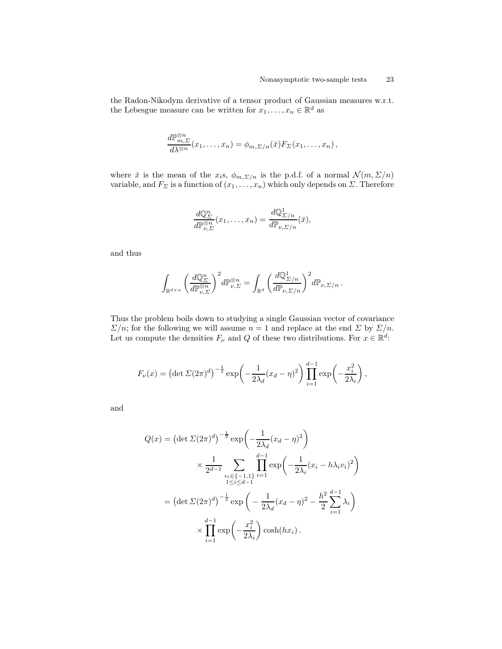the Radon-Nikodym derivative of a tensor product of Gaussian measures w.r.t. the Lebesgue measure can be written for  $x_1, \ldots, x_n \in \mathbb{R}^d$  as

$$
\frac{d\mathbb{P}_{m,\Sigma}^{\otimes n}}{d\lambda^{\otimes n}}(x_1,\ldots,x_n)=\phi_{m,\Sigma/n}(\bar{x})F_{\Sigma}(x_1,\ldots,x_n),
$$

where  $\bar{x}$  is the mean of the  $x_i$ s,  $\phi_{m,\Sigma/n}$  is the p.d.f. of a normal  $\mathcal{N}(m,\Sigma/n)$ variable, and  $F_{\Sigma}$  is a function of  $(x_1, \ldots, x_n)$  which only depends on  $\Sigma$ . Therefore

$$
\frac{d\mathbb{Q}_{\Sigma}^n}{d\mathbb{P}_{\nu,\Sigma}^{\otimes n}}(x_1,\ldots,x_n)=\frac{d\mathbb{Q}_{\Sigma/n}^1}{d\mathbb{P}_{\nu,\Sigma/n}}(\bar{x}),
$$

and thus

$$
\int_{\mathbb{R}^{d\times n}} \left(\frac{d\mathbb{Q}_{\Sigma}^{n}}{d\mathbb{P}_{\nu,\Sigma}^{\otimes n}}\right)^{2} d\mathbb{P}_{\nu,\Sigma}^{\otimes n} = \int_{\mathbb{R}^{d}} \left(\frac{d\mathbb{Q}_{\Sigma/n}^{1}}{d\mathbb{P}_{\nu,\Sigma/n}}\right)^{2} d\mathbb{P}_{\nu,\Sigma/n}.
$$

Thus the problem boils down to studying a single Gaussian vector of covariance  $\Sigma/n$ ; for the following we will assume  $n = 1$  and replace at the end  $\Sigma$  by  $\Sigma/n$ . Let us compute the densities  $F_{\nu}$  and  $Q$  of these two distributions. For  $x \in \mathbb{R}^d$ :

$$
F_{\nu}(x) = \left(\det \Sigma(2\pi)^d\right)^{-\frac{1}{2}} \exp\left(-\frac{1}{2\lambda_d}(x_d - \eta)^2\right) \prod_{i=1}^{d-1} \exp\left(-\frac{x_i^2}{2\lambda_i}\right),
$$

and

$$
Q(x) = (\det \Sigma (2\pi)^d)^{-\frac{1}{2}} \exp\left(-\frac{1}{2\lambda_d}(x_d - \eta)^2\right)
$$
  
\$\times \frac{1}{2^{d-1}} \sum\_{\substack{v\_i \in \{-1,1\} \\ 1 \le i \le d-1}} \prod\_{i=1}^{d-1} \exp\left(-\frac{1}{2\lambda\_i}(x\_i - h\lambda\_i v\_i)^2\right)\$  
= (\det \Sigma (2\pi)^d)^{-\frac{1}{2}} \exp\left(-\frac{1}{2\lambda\_d}(x\_d - \eta)^2 - \frac{h^2}{2} \sum\_{i=1}^{d-1} \lambda\_i\right)\$  
\$\times \prod\_{i=1}^{d-1} \exp\left(-\frac{x\_i^2}{2\lambda\_i}\right) \cosh(hx\_i)\$.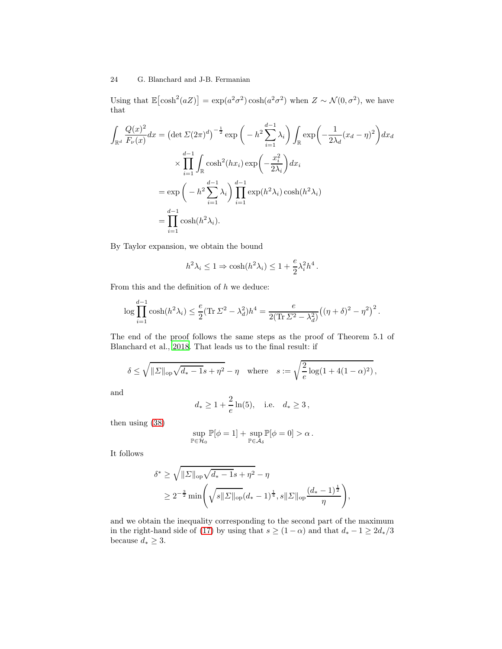Using that  $\mathbb{E}[\cosh^2(aZ)] = \exp(a^2\sigma^2)\cosh(a^2\sigma^2)$  when  $Z \sim \mathcal{N}(0, \sigma^2)$ , we have that

$$
\int_{\mathbb{R}^d} \frac{Q(x)^2}{F_{\nu}(x)} dx = \left(\det \Sigma (2\pi)^d\right)^{-\frac{1}{2}} \exp\left(-h^2 \sum_{i=1}^{d-1} \lambda_i\right) \int_{\mathbb{R}} \exp\left(-\frac{1}{2\lambda_d}(x_d - \eta)^2\right) dx_d
$$

$$
\times \prod_{i=1}^{d-1} \int_{\mathbb{R}} \cosh^2(hx_i) \exp\left(-\frac{x_i^2}{2\lambda_i}\right) dx_i
$$

$$
= \exp\left(-h^2 \sum_{i=1}^{d-1} \lambda_i\right) \prod_{i=1}^{d-1} \exp(h^2 \lambda_i) \cosh(h^2 \lambda_i)
$$

$$
= \prod_{i=1}^{d-1} \cosh(h^2 \lambda_i).
$$

By Taylor expansion, we obtain the bound

$$
h^2 \lambda_i \le 1 \Rightarrow \cosh(h^2 \lambda_i) \le 1 + \frac{e}{2} \lambda_i^2 h^4.
$$

From this and the definition of  $h$  we deduce:

$$
\log \prod_{i=1}^{d-1} \cosh(h^2 \lambda_i) \le \frac{e}{2} (\text{Tr} \Sigma^2 - \lambda_d^2) h^4 = \frac{e}{2(\text{Tr} \Sigma^2 - \lambda_d^2)} \big( (\eta + \delta)^2 - \eta^2 \big)^2 \, .
$$

The end of the proof follows the same steps as the proof of Theorem 5.1 of Blanchard et al., [2018.](#page-37-2) That leads us to the final result: if

$$
\delta \le \sqrt{\|\Sigma\|_{\text{op}}\sqrt{d_*-1}s+\eta^2}-\eta \quad \text{where} \quad s := \sqrt{\frac{2}{e}\log(1+4(1-\alpha)^2)},
$$

and

$$
d_* \ge 1 + \frac{2}{e} \ln(5)
$$
, i.e.  $d_* \ge 3$ ,

then using [\(38\)](#page-21-1)

$$
\sup_{\mathbb{P}\in\mathcal{H}_0}\mathbb{P}[\phi=1]+\sup_{\mathbb{P}\in\mathcal{A}_\delta}\mathbb{P}[\phi=0]>\alpha\,.
$$

It follows

$$
\delta^* \ge \sqrt{\|\Sigma\|_{\text{op}} \sqrt{d_* - 1} s + \eta^2} - \eta
$$
  
 
$$
\ge 2^{-\frac{3}{2}} \min \left( \sqrt{s \|\Sigma\|_{\text{op}} (d_* - 1)^{\frac{1}{4}}}, s \|\Sigma\|_{\text{op}} \frac{(d_* - 1)^{\frac{1}{2}}}{\eta} \right),
$$

and we obtain the inequality corresponding to the second part of the maximum in the right-hand side of [\(17\)](#page-10-3) by using that  $s \geq (1-\alpha)$  and that  $d_* -1 \geq 2d_*/3$ because  $d_* \geq 3$ .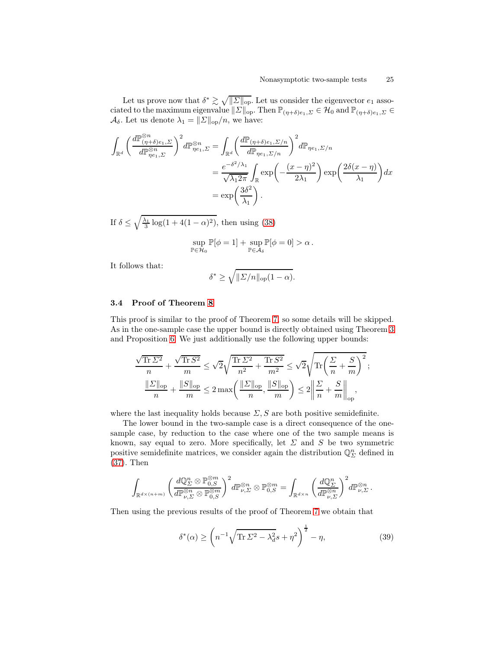Let us prove now that  $\delta^* \gtrsim \sqrt{\|\Sigma\|_{\text{op}}}.$  Let us consider the eigenvector  $e_1$  associated to the maximum eigenvalue  $||\Sigma||_{op}$ . Then  $\mathbb{P}_{(\eta+\delta)e_1,\Sigma} \in \mathcal{H}_0$  and  $\mathbb{P}_{(\eta+\delta)e_1,\Sigma} \in$  $\mathcal{A}_{\delta}$ . Let us denote  $\lambda_1 = ||\Sigma||_{op}/n$ , we have:

$$
\int_{\mathbb{R}^d} \left( \frac{d\mathbb{P}_{(\eta+\delta)e_1,\Sigma}^{\otimes n}}{d\mathbb{P}_{\eta e_1,\Sigma}^{\otimes n}} \right)^2 d\mathbb{P}_{\eta e_1,\Sigma}^{\otimes n} = \int_{\mathbb{R}^d} \left( \frac{d\mathbb{P}_{(\eta+\delta)e_1,\Sigma/n}}{d\mathbb{P}_{\eta e_1,\Sigma/n}} \right)^2 d\mathbb{P}_{\eta e_1,\Sigma/n}
$$
\n
$$
= \frac{e^{-\delta^2/\lambda_1}}{\sqrt{\lambda_1 2\pi}} \int_{\mathbb{R}} \exp\left(-\frac{(x-\eta)^2}{2\lambda_1}\right) \exp\left(\frac{2\delta(x-\eta)}{\lambda_1}\right) dx
$$
\n
$$
= \exp\left(\frac{3\delta^2}{\lambda_1}\right).
$$

If  $\delta \leq \sqrt{\frac{\lambda_1}{3} \log(1 + 4(1 - \alpha)^2)}$ , then using [\(38\)](#page-21-1)

$$
\sup_{\mathbb{P}\in\mathcal{H}_0} \mathbb{P}[\phi = 1] + \sup_{\mathbb{P}\in\mathcal{A}_\delta} \mathbb{P}[\phi = 0] > \alpha.
$$

It follows that:

$$
\delta^* \geq \sqrt{\|\varSigma/n\|_{\mathrm{op}}(1-\alpha)}.
$$

## <span id="page-24-0"></span>3.4 Proof of Theorem [8](#page-10-1)

This proof is similar to the proof of Theorem [7,](#page-10-0) so some details will be skipped. As in the one-sample case the upper bound is directly obtained using Theorem [3](#page-8-2) and Proposition [6.](#page-9-1) We just additionally use the following upper bounds:

$$
\frac{\sqrt{\text{Tr}\,\Sigma^2}}{n} + \frac{\sqrt{\text{Tr}\,S^2}}{m} \le \sqrt{2}\sqrt{\frac{\text{Tr}\,\Sigma^2}{n^2} + \frac{\text{Tr}\,S^2}{m^2}} \le \sqrt{2}\sqrt{\text{Tr}\left(\frac{\Sigma}{n} + \frac{S}{m}\right)^2};
$$

$$
\frac{\|\Sigma\|_{\text{op}}}{n} + \frac{\|S\|_{\text{op}}}{m} \le 2\max\left(\frac{\|\Sigma\|_{\text{op}}}{n}, \frac{\|S\|_{\text{op}}}{m}\right) \le 2\left\|\frac{\Sigma}{n} + \frac{S}{m}\right\|_{\text{op}},
$$

where the last inequality holds because  $\Sigma$ , S are both positive semidefinite.

The lower bound in the two-sample case is a direct consequence of the onesample case, by reduction to the case where one of the two sample means is known, say equal to zero. More specifically, let  $\Sigma$  and  $S$  be two symmetric positive semidefinite matrices, we consider again the distribution  $\mathbb{Q}^n_{\varSigma}$  defined in [\(37\)](#page-21-2). Then

$$
\int_{\mathbb{R}^{d\times (n+m)}}\bigg(\frac{d\mathbb{Q}^n_{\varSigma}\otimes \mathbb{P}^{\otimes m}_{0, S}}{d\mathbb{P}^{\otimes n}_{\nu,\varSigma}\otimes \mathbb{P}^{\otimes m}_{0, S}}\bigg)^2d\mathbb{P}^{\otimes n}_{\nu,\varSigma}\otimes \mathbb{P}^{\otimes m}_{0, S}=\int_{\mathbb{R}^{d\times n}}\bigg(\frac{d\mathbb{Q}^n_{\varSigma}}{d\mathbb{P}^{\otimes n}_{\nu,\varSigma}}\bigg)^2d\mathbb{P}^{\otimes n}_{\nu,\varSigma}\,.
$$

Then using the previous results of the proof of Theorem [7](#page-10-0) we obtain that

<span id="page-24-1"></span>
$$
\delta^*(\alpha) \ge \left(n^{-1}\sqrt{\text{Tr}\,\Sigma^2 - \lambda_d^2}s + \eta^2\right)^{\frac{1}{2}} - \eta,\tag{39}
$$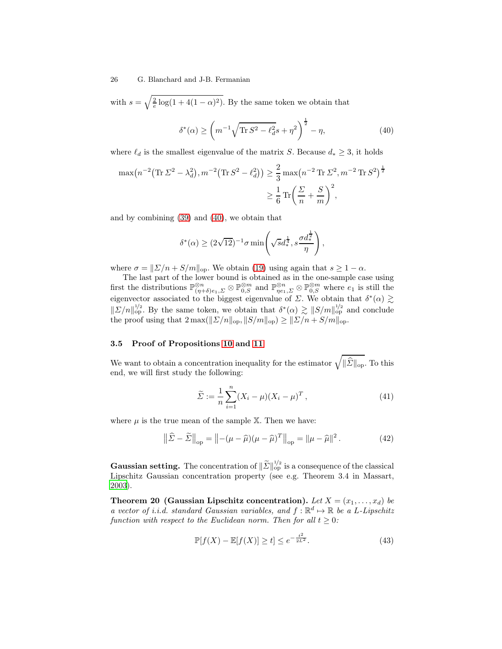with  $s = \sqrt{\frac{2}{e} \log(1 + 4(1 - \alpha)^2)}$ . By the same token we obtain that

<span id="page-25-0"></span>
$$
\delta^*(\alpha) \ge \left( m^{-1} \sqrt{\text{Tr} S^2 - \ell_d^2} s + \eta^2 \right)^{\frac{1}{2}} - \eta,
$$
\n(40)

where  $\ell_d$  is the smallest eigenvalue of the matrix S. Because  $d_* \geq 3$ , it holds

$$
\max(n^{-2}(\text{Tr}\,\Sigma^2 - \lambda_d^2), m^{-2}(\text{Tr}\,S^2 - \ell_d^2)) \ge \frac{2}{3}\max(n^{-2}\,\text{Tr}\,\Sigma^2, m^{-2}\,\text{Tr}\,S^2)^{\frac{1}{2}}
$$

$$
\ge \frac{1}{6}\,\text{Tr}\left(\frac{\Sigma}{n} + \frac{S}{m}\right)^2,
$$

and by combining [\(39\)](#page-24-1) and [\(40\)](#page-25-0), we obtain that

$$
\delta^*(\alpha) \ge (2\sqrt{12})^{-1} \sigma \min \left( \sqrt{s} d_*^{\frac{1}{4}}, s \frac{\sigma d_*^{\frac{1}{2}}}{\eta} \right),\,
$$

where  $\sigma = ||\Sigma/n + S/m||_{op}$ . We obtain [\(19\)](#page-10-4) using again that  $s \geq 1 - \alpha$ .

The last part of the lower bound is obtained as in the one-sample case using first the distributions  $\mathbb{P}_{(\eta+\delta)e_1,\Sigma}^{\otimes n} \otimes \mathbb{P}_{0,S}^{\otimes m}$  and  $\mathbb{P}_{\eta e_1,\Sigma}^{\otimes n} \otimes \mathbb{P}_{0,S}^{\otimes m}$  where  $e_1$  is still the eigenvector associated to the biggest eigenvalue of  $\Sigma$ . We obtain that  $\delta^*(\alpha) \gtrsim$  $||\sum/n||_{\text{op}}^{1/2}$ . By the same token, we obtain that  $\delta^*(\alpha) \gtrsim ||S/m||_{\text{op}}^{1/2}$  and conclude the proof using that  $2 \max(||\Sigma/n||_{op}, ||S/m||_{op}) \ge ||\Sigma/n + S/m||_{op}.$ 

## 3.5 Proof of Propositions [10](#page-12-3) and [11](#page-12-1)

We want to obtain a concentration inequality for the estimator  $\sqrt{\|\hat{\mathcal{\Sigma}}\|_{\text{op}}}$ . To this end, we will first study the following:

<span id="page-25-2"></span><span id="page-25-1"></span>
$$
\widetilde{\Sigma} := \frac{1}{n} \sum_{i=1}^{n} (X_i - \mu)(X_i - \mu)^T, \tag{41}
$$

where  $\mu$  is the true mean of the sample X. Then we have:

$$
\left\|\widehat{\mathcal{L}} - \widetilde{\mathcal{L}}\right\|_{\text{op}} = \left\|-(\mu - \widehat{\mu})(\mu - \widehat{\mu})^T\right\|_{\text{op}} = \|\mu - \widehat{\mu}\|^2. \tag{42}
$$

**Gaussian setting.** The concentration of  $\|\widetilde{\Sigma}\|_{\text{op}}^{1/2}$  is a consequence of the classical Lipschitz Gaussian concentration property (see e.g. Theorem 3.4 in Massart, [2003\)](#page-39-15).

<span id="page-25-3"></span>Theorem 20 (Gaussian Lipschitz concentration). Let  $X = (x_1, \ldots, x_d)$  be a vector of i.i.d. standard Gaussian variables, and  $f : \mathbb{R}^d \mapsto \mathbb{R}$  be a L-Lipschitz function with respect to the Euclidean norm. Then for all  $t \geq 0$ :

$$
\mathbb{P}[f(X) - \mathbb{E}[f(X)] \ge t] \le e^{-\frac{t^2}{2L^2}}.
$$
\n(43)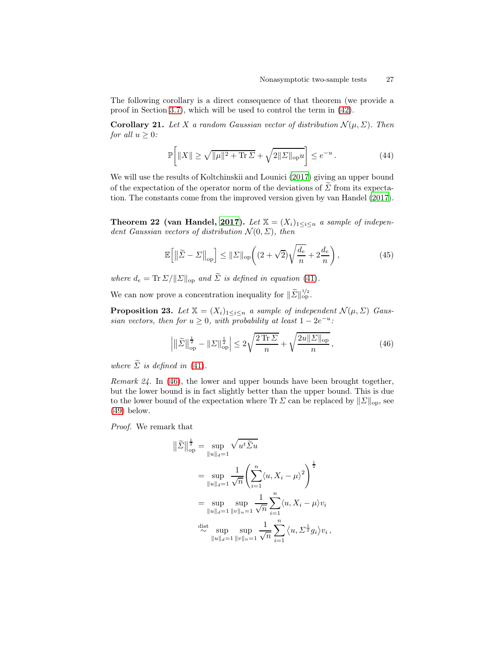The following corollary is a direct consequence of that theorem (we provide a proof in Section [3.7\)](#page-33-0), which will be used to control the term in [\(42\)](#page-25-1).

Corollary 21. Let X a random Gaussian vector of distribution  $\mathcal{N}(\mu, \Sigma)$ . Then for all  $u \geq 0$ :

<span id="page-26-3"></span>
$$
\mathbb{P}\bigg[\|X\| \ge \sqrt{\|\mu\|^2 + \text{Tr}\,\Sigma} + \sqrt{2\|\Sigma\|_{\text{op}} u}\bigg] \le e^{-u} \,. \tag{44}
$$

We will use the results of Koltchinskii and Lounici [\(2017\)](#page-38-13) giving an upper bound of the expectation of the operator norm of the deviations of  $\widetilde{\Sigma}$  from its expectation. The constants come from the improved version given by van Handel [\(2017\)](#page-39-10).

<span id="page-26-2"></span>Theorem 22 (van Handel, [2017\)](#page-39-10). Let  $\mathbb{X} = (X_i)_{1 \leq i \leq n}$  a sample of independent Gaussian vectors of distribution  $\mathcal{N}(0, \Sigma)$ , then

$$
\mathbb{E}\left[\left\|\widetilde{\Sigma} - \Sigma\right\|_{\text{op}}\right] \le \|\Sigma\|_{\text{op}} \left( (2 + \sqrt{2})\sqrt{\frac{d_e}{n}} + 2\frac{d_e}{n} \right),\tag{45}
$$

where  $d_e = \text{Tr} \Sigma / ||\Sigma||_{op}$  and  $\widetilde{\Sigma}$  is defined in equation [\(41\)](#page-25-2).

<span id="page-26-0"></span>We can now prove a concentration inequality for  $\|\widetilde{\Sigma}\|_{\text{op}}^{1/2}$ .

**Proposition 23.** Let  $X = (X_i)_{1 \leq i \leq n}$  a sample of independent  $\mathcal{N}(\mu, \Sigma)$  Gaussian vectors, then for  $u \ge 0$ , with probability at least  $1 - 2e^{-u}$ .

<span id="page-26-1"></span>
$$
\left| \left\| \tilde{\Sigma} \right\|_{\text{op}}^{\frac{1}{2}} - \left\| \Sigma \right\|_{\text{op}}^{\frac{1}{2}} \right| \le 2\sqrt{\frac{2\operatorname{Tr}\Sigma}{n}} + \sqrt{\frac{2u\|\Sigma\|_{\text{op}}}{n}},\tag{46}
$$

where  $\widetilde{\Sigma}$  is defined in [\(41\)](#page-25-2).

Remark 24. In [\(46\)](#page-26-1), the lower and upper bounds have been brought together, but the lower bound is in fact slightly better than the upper bound. This is due to the lower bound of the expectation where Tr  $\Sigma$  can be replaced by  $||\Sigma||_{op}$ , see [\(49\)](#page-28-0) below.

Proof. We remark that

$$
\|\tilde{\Sigma}\|_{op}^{\frac{1}{2}} = \sup_{\|u\|_{d}=1} \sqrt{u^{t}\tilde{\Sigma}u}
$$
  
\n
$$
= \sup_{\|u\|_{d}=1} \frac{1}{\sqrt{n}} \left( \sum_{i=1}^{n} \langle u, X_{i} - \mu \rangle^{2} \right)^{\frac{1}{2}}
$$
  
\n
$$
= \sup_{\|u\|_{d}=1} \sup_{\|v\|_{n}=1} \frac{1}{\sqrt{n}} \sum_{i=1}^{n} \langle u, X_{i} - \mu \rangle v_{i}
$$
  
\n
$$
\stackrel{\text{dist}}{\sim} \sup_{\|u\|_{d}=1} \sup_{\|v\|_{n}=1} \frac{1}{\sqrt{n}} \sum_{i=1}^{n} \langle u, \Sigma^{\frac{1}{2}} g_{i} \rangle v_{i},
$$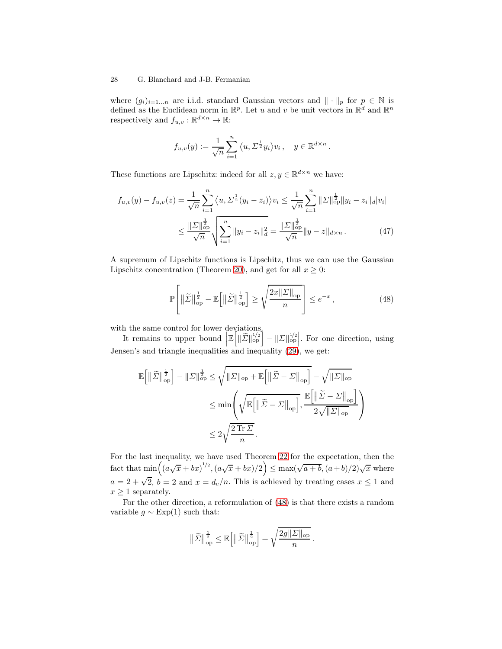where  $(g_i)_{i=1...n}$  are i.i.d. standard Gaussian vectors and  $\|\cdot\|_p$  for  $p \in \mathbb{N}$  is defined as the Euclidean norm in  $\mathbb{R}^p$ . Let u and v be unit vectors in  $\mathbb{R}^d$  and  $\mathbb{R}^n$ respectively and  $f_{u,v} : \mathbb{R}^{d \times n} \to \mathbb{R}$ :

$$
f_{u,v}(y) := \frac{1}{\sqrt{n}} \sum_{i=1}^n \langle u, \Sigma^{\frac{1}{2}} y_i \rangle v_i, \quad y \in \mathbb{R}^{d \times n}.
$$

These functions are Lipschitz: indeed for all  $z, y \in \mathbb{R}^{d \times n}$  we have:

$$
f_{u,v}(y) - f_{u,v}(z) = \frac{1}{\sqrt{n}} \sum_{i=1}^n \langle u, \Sigma^{\frac{1}{2}}(y_i - z_i) \rangle v_i \le \frac{1}{\sqrt{n}} \sum_{i=1}^n \|\Sigma\|_{op}^{\frac{1}{2}} \|y_i - z_i\|_{d} |v_i|
$$
  

$$
\le \frac{\|\Sigma\|_{op}^{\frac{1}{2}}}{\sqrt{n}} \sqrt{\sum_{i=1}^n \|y_i - z_i\|_{d}^2} = \frac{\|\Sigma\|_{op}^{\frac{1}{2}}}{\sqrt{n}} \|y - z\|_{d \times n}.
$$
 (47)

A supremum of Lipschitz functions is Lipschitz, thus we can use the Gaussian Lipschitz concentration (Theorem [20\)](#page-25-3), and get for all  $x \geq 0$ :

<span id="page-27-0"></span>
$$
\mathbb{P}\left[\left\|\widetilde{\Sigma}\right\|_{\text{op}}^{\frac{1}{2}} - \mathbb{E}\left[\left\|\widetilde{\Sigma}\right\|_{\text{op}}^{\frac{1}{2}}\right] \ge \sqrt{\frac{2x\|\Sigma\|_{\text{op}}}{n}}\right] \le e^{-x},\tag{48}
$$

with the same control for lower deviations.

It remains to upper bound  $\left| \mathbb{E}\left[ \|\tilde{\Sigma}\|_{\text{op}}^{1/2} \right] - \|\Sigma\|_{\text{op}}^{1/2} \right]$ . For one direction, using Jensen's and triangle inequalities and inequality [\(29\)](#page-16-3), we get:

$$
\mathbb{E}\Big[\|\tilde{\Sigma}\|_{\mathrm{op}}^{\frac{1}{2}}\Big] - \|\Sigma\|_{\mathrm{op}}^{\frac{1}{2}} \leq \sqrt{\|\Sigma\|_{\mathrm{op}} + \mathbb{E}\Big[\|\tilde{\Sigma} - \Sigma\|_{\mathrm{op}}\Big]} - \sqrt{\|\Sigma\|_{\mathrm{op}}}
$$
  

$$
\leq \min\left(\sqrt{\mathbb{E}\Big[\|\tilde{\Sigma} - \Sigma\|_{\mathrm{op}}\Big]}, \frac{\mathbb{E}\Big[\|\tilde{\Sigma} - \Sigma\|_{\mathrm{op}}\Big]}{2\sqrt{\|\Sigma\|_{\mathrm{op}}}}\right)
$$
  

$$
\leq 2\sqrt{\frac{2\operatorname{Tr}\Sigma}{n}}.
$$

For the last inequality, we have used Theorem [22](#page-26-2) for the expectation, then the fact that  $\min((a\sqrt{x}+bx)^{1/2},(a\sqrt{x}+bx)/2)\leq \max(\sqrt{a+b},(a+b)/2)\sqrt{x}$  where  $a = 2 + \sqrt{2}$ ,  $b = 2$  and  $x = d_e/n$ . This is achieved by treating cases  $x \le 1$  and  $x \geq 1$  separately.

For the other direction, a reformulation of [\(48\)](#page-27-0) is that there exists a random variable  $g \sim \text{Exp}(1)$  such that:

$$
\big\|\tilde{\varSigma}\big\|_{\mathrm{op}}^{\frac{1}{2}} \leq \mathbb{E}\Big[\big\|\tilde{\varSigma}\big\|_{\mathrm{op}}^{\frac{1}{2}}\Big] + \sqrt{\frac{2g\|\varSigma\|_{\mathrm{op}}}{n}}\,.
$$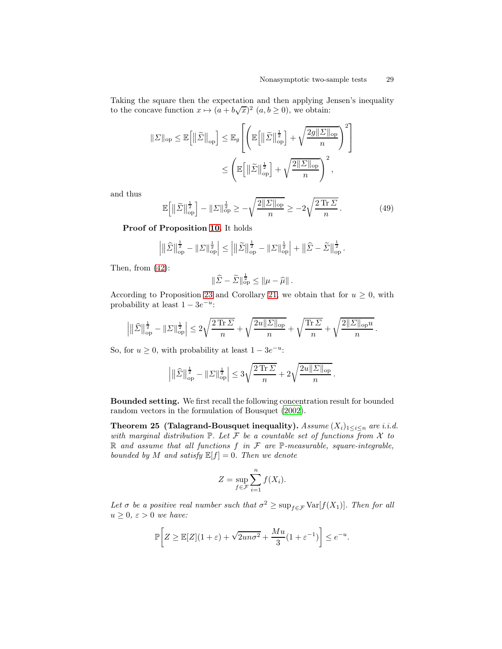Taking the square then the expectation and then applying Jensen's inequality to the concave function  $x \mapsto (a + b\sqrt{x})^2$   $(a, b \ge 0)$ , we obtain:

$$
\begin{aligned} \|\Sigma\|_{\text{op}} &\leq \mathbb{E}\Big[\|\widetilde{\Sigma}\|_{\text{op}}\Big] \leq \mathbb{E}_{g}\Bigg[\Big(\mathbb{E}\Big[\|\widetilde{\Sigma}\|_{\text{op}}^{\frac{1}{2}}\Big]+\sqrt{\frac{2g\|\Sigma\|_{\text{op}}}{n}}\Big)^2\Bigg] \\ &\leq \Bigg(\mathbb{E}\Big[\|\widetilde{\Sigma}\|_{\text{op}}^{\frac{1}{2}}\Big]+\sqrt{\frac{2\|\Sigma\|_{\text{op}}}{n}}\Bigg)^2, \end{aligned}
$$

and thus

<span id="page-28-0"></span>
$$
\mathbb{E}\left[\left\|\tilde{\Sigma}\right\|_{\text{op}}^{\frac{1}{2}}\right] - \left\|\Sigma\right\|_{\text{op}}^{\frac{1}{2}} \ge -\sqrt{\frac{2\|\Sigma\|_{\text{op}}}{n}} \ge -2\sqrt{\frac{2\,\text{Tr}\,\Sigma}{n}}\,. \tag{49}
$$

Proof of Proposition [10.](#page-12-3) It holds

$$
\left| \|\widehat{\varSigma}\|^{\frac{1}{2}}_{\mathrm{op}} - \|\varSigma\|^{\frac{1}{2}}_{\mathrm{op}} \right| \leq \left| \|\widetilde{\varSigma}\|^{\frac{1}{2}}_{\mathrm{op}} - \|\varSigma\|^{\frac{1}{2}}_{\mathrm{op}} \right| + \left\|\widehat{\varSigma} - \widetilde{\varSigma}\right\|^{\frac{1}{2}}_{\mathrm{op}}.
$$

Then, from [\(42\)](#page-25-1):

$$
\|\widehat{\Sigma} - \widetilde{\Sigma}\|^{\frac{1}{2}}_{\mathrm{op}} \le \|\mu - \widehat{\mu}\|.
$$

According to Proposition [23](#page-26-0) and Corollary [21,](#page-26-3) we obtain that for  $u \geq 0$ , with probability at least  $1 - 3e^{-u}$ :

$$
\left|\|\widehat{ \varSigma}\|_{\operatorname{op}}^{\frac{1}{2}} - \|\varSigma\|_{\operatorname{op}}^{\frac{1}{2}}\right| \leq 2\sqrt{\frac{2\operatorname{Tr} \varSigma}{n}} + \sqrt{\frac{2u\|\varSigma\|_{\operatorname{op}}}{n}} + \sqrt{\frac{\operatorname{Tr} \varSigma}{n}} + \sqrt{\frac{2\|\varSigma\|_{\operatorname{op}}u}{n}}\,.
$$

So, for  $u \ge 0$ , with probability at least  $1 - 3e^{-u}$ :

$$
\left| \|\hat{\varSigma}\|_{\rm op}^{\frac{1}{2}} - \|\varSigma\|_{\rm op}^{\frac{1}{2}} \right| \leq 3\sqrt{\frac{2\,{\rm Tr}\,\varSigma}{n}} + 2\sqrt{\frac{2u\|\varSigma\|_{\rm op}}{n}} \,.
$$

Bounded setting. We first recall the following concentration result for bounded random vectors in the formulation of Bousquet [\(2002\)](#page-37-7).

Theorem 25 (Talagrand-Bousquet inequality).  $Assume(X_i)_{1\leq i\leq n}$  are i.i.d. with marginal distribution  $\mathbb{P}$ . Let F be a countable set of functions from X to  $\mathbb R$  and assume that all functions  $f$  in  $\mathcal F$  are  $\mathbb P$ -measurable, square-integrable, bounded by M and satisfy  $\mathbb{E}[f] = 0$ . Then we denote

<span id="page-28-1"></span>
$$
Z = \sup_{f \in \mathcal{F}} \sum_{i=1}^{n} f(X_i).
$$

Let  $\sigma$  be a positive real number such that  $\sigma^2 \geq \sup_{f \in \mathcal{F}} \text{Var}[f(X_1)]$ . Then for all  $u \geq 0$ ,  $\varepsilon > 0$  we have:

$$
\mathbb{P}\bigg[Z \ge \mathbb{E}[Z](1+\varepsilon) + \sqrt{2un\sigma^2} + \frac{Mu}{3}(1+\varepsilon^{-1})\bigg] \le e^{-u}.
$$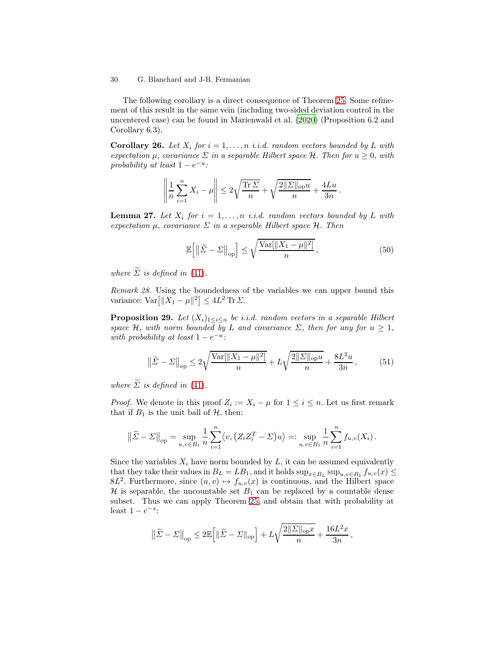The following corollary is a direct consequence of Theorem [25.](#page-28-1) Some refinement of this result in the same vein (including two-sided deviation control in the uncentered case) can be found in Marienwald et al. [\(2020](#page-39-9)) (Proposition 6.2 and Corollary 6.3).

**Corollary 26.** Let  $X_i$  for  $i = 1, ..., n$  i.i.d. random vectors bounded by L with expectation  $\mu$ , covariance  $\Sigma$  in a separable Hilbert space  $\mathcal{H}$ . Then for  $u > 0$ , with probability at least  $1 - e^{-u}$ :

<span id="page-29-2"></span>
$$
\left\|\frac{1}{n}\sum_{i=1}^n X_i - \mu\right\| \le 2\sqrt{\frac{\text{Tr}\,\Sigma}{n}} + \sqrt{\frac{2\|\Sigma\|_{\text{op}} u}{n}} + \frac{4Lu}{3n}.
$$

<span id="page-29-0"></span>**Lemma 27.** Let  $X_i$  for  $i = 1, ..., n$  i.i.d. random vectors bounded by L with expectation  $\mu$ , covariance  $\Sigma$  in a separable Hilbert space  $\mathcal{H}$ . Then

$$
\mathbb{E}\left[\left\|\widetilde{\Sigma} - \Sigma\right\|_{\text{op}}\right] \le \sqrt{\frac{\text{Var}[\|X_1 - \mu\|^2]}{n}},\tag{50}
$$

where  $\widetilde{\Sigma}$  is defined in [\(41\)](#page-25-2).

Remark 28. Using the boundedness of the variables we can upper bound this variance:  $\text{Var}\big[\|X_1 - \mu\|^2\big] \leq 4L^2 \text{ Tr }\Sigma.$ 

<span id="page-29-1"></span>**Proposition 29.** Let  $(X_i)_{1 \leq i \leq n}$  be i.i.d. random vectors in a separable Hilbert space H, with norm bounded by L and covariance  $\Sigma$ , then for any for  $u \geq 1$ , with probability at least  $1 - e^{-u}$ :

$$
\left\|\tilde{\Sigma} - \Sigma\right\|_{\text{op}} \le 2\sqrt{\frac{\text{Var}[\|X_1 - \mu\|^2]}{n}} + L\sqrt{\frac{2\|\Sigma\|_{\text{op}} u}{n}} + \frac{8L^2 u}{3n},\tag{51}
$$

where  $\widetilde{\Sigma}$  is defined in [\(41\)](#page-25-2).

*Proof.* We denote in this proof  $Z_i := X_i - \mu$  for  $1 \leq i \leq n$ . Let us first remark that if  $B_1$  is the unit ball of  $H$ , then:

$$
\left\|\widetilde{\Sigma} - \Sigma\right\|_{\text{op}} = \sup_{u,v \in B_1} \frac{1}{n} \sum_{i=1}^n \langle v, \left(Z_i Z_i^T - \Sigma\right) u \rangle =: \sup_{u,v \in B_1} \frac{1}{n} \sum_{i=1}^n f_{u,v}(X_i).
$$

Since the variables  $X_i$  have norm bounded by  $L$ , it can be assumed equivalently that they take their values in  $B_L = LB_1$ , and it holds  $\sup_{x \in B_L} \sup_{u,v \in B_1} f_{u,v}(x) \le$ 8L<sup>2</sup>. Furthermore, since  $(u, v) \mapsto f_{u,v}(x)$  is continuous, and the Hilbert space  $H$  is separable, the uncountable set  $B_1$  can be replaced by a countable dense subset. Thus we can apply Theorem [25,](#page-28-1) and obtain that with probability at least  $1 - e^{-x}$ :

$$
\big\| \widetilde{\varSigma} - \varSigma \big\|_{\mathrm{op}} \leq 2 \mathbb{E} \Big[ \| \widetilde{\varSigma} - \varSigma \|_{\mathrm{op}} \Big] + L \sqrt{\frac{2 \|\varSigma\|_{\mathrm{op}} x}{n}} + \frac{16 L^2 x}{3 n} \, ,
$$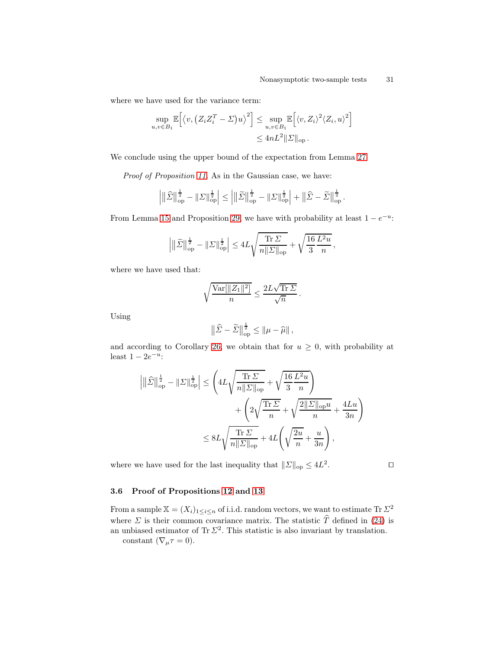where we have used for the variance term:

$$
\sup_{u,v \in B_1} \mathbb{E}\Big[\langle v, (Z_i Z_i^T - \Sigma)u \rangle^2\Big] \leq \sup_{u,v \in B_1} \mathbb{E}\Big[\langle v, Z_i \rangle^2 \langle Z_i, u \rangle^2\Big] \leq 4nL^2 \|\Sigma\|_{\text{op}}.
$$

We conclude using the upper bound of the expectation from Lemma [27.](#page-29-0)

Proof of Proposition [11.](#page-12-1) As in the Gaussian case, we have:

$$
\left| \|\widehat{\varSigma}\|^{\frac{1}{2}}_{\mathrm{op}} - \|\varSigma\|^{\frac{1}{2}}_{\mathrm{op}} \right| \leq \left| \|\widetilde{\varSigma}\|^{\frac{1}{2}}_{\mathrm{op}} - \|\varSigma\|^{\frac{1}{2}}_{\mathrm{op}} \right| + \left\|\widehat{\varSigma} - \widetilde{\varSigma}\right\|^{\frac{1}{2}}_{\mathrm{op}}.
$$

From Lemma [15](#page-16-2) and Proposition [29,](#page-29-1) we have with probability at least  $1 - e^{-u}$ :

$$
\left|\|\tilde{\varSigma}\|_{\operatorname{op}}^{\frac{1}{2}} - \|\varSigma\|_{\operatorname{op}}^{\frac{1}{2}}\right| \le 4L\sqrt{\frac{\operatorname{Tr} \varSigma}{n\|\varSigma\|_{\operatorname{op}}}} + \sqrt{\frac{16}{3}\frac{L^2u}{n}},
$$

where we have used that:

$$
\sqrt{\frac{\text{Var}[\|Z_1\|^2]}{n}} \le \frac{2L\sqrt{\text{Tr }\Sigma}}{\sqrt{n}}.
$$

Using

$$
\left\|\widehat{\Sigma}-\widetilde{\Sigma}\right\|_{\text{op}}^{\frac{1}{2}} \leq \left\|\mu-\widehat{\mu}\right\|,
$$

and according to Corollary [26,](#page-29-2) we obtain that for  $u \geq 0$ , with probability at least  $1 - 2e^{-u}$ :

$$
\left| \|\hat{\varSigma}\|_{\mathrm{op}}^{\frac{1}{2}} - \|\varSigma\|_{\mathrm{op}}^{\frac{1}{2}} \right| \leq \left( 4L \sqrt{\frac{\mathrm{Tr}\,\varSigma}{n\|\varSigma\|_{\mathrm{op}}} } + \sqrt{\frac{16}{3} \frac{L^2 u}{n}} \right) + \left( 2\sqrt{\frac{\mathrm{Tr}\,\varSigma}{n}} + \sqrt{\frac{2\|\varSigma\|_{\mathrm{op}} u}{n}} + \frac{4Lu}{3n} \right) \leq 8L \sqrt{\frac{\mathrm{Tr}\,\varSigma}{n\|\varSigma\|_{\mathrm{op}}} } + 4L \left( \sqrt{\frac{2u}{n}} + \frac{u}{3n} \right),
$$

where we have used for the last inequality that  $||\Sigma||_{op} \leq 4L^2$ 

 $\begin{array}{c} \hline \end{array}$ 

. ⊓⊔

## <span id="page-30-0"></span>3.6 Proof of Propositions [12](#page-13-2) and [13](#page-13-3)

From a sample  $\mathbb{X} = (X_i)_{1 \leq i \leq n}$  of i.i.d. random vectors, we want to estimate Tr  $\Sigma^2$ where  $\Sigma$  is their common covariance matrix. The statistic  $\hat{T}$  defined in [\(24\)](#page-13-1) is an unbiased estimator of Tr  $\Sigma^2$ . This statistic is also invariant by translation.

constant  $(\nabla_{\mu}\tau=0)$ .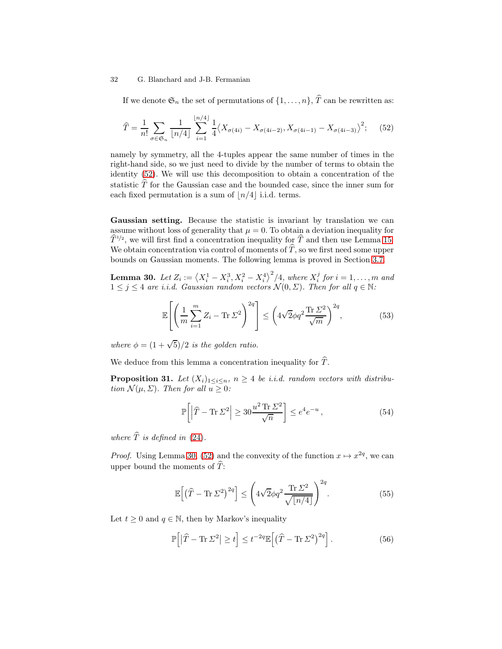If we denote  $\mathfrak{S}_n$  the set of permutations of  $\{1, \ldots, n\}$ ,  $\widehat{T}$  can be rewritten as:

<span id="page-31-0"></span>
$$
\widehat{T} = \frac{1}{n!} \sum_{\sigma \in \mathfrak{S}_n} \frac{1}{\lfloor n/4 \rfloor} \sum_{i=1}^{\lfloor n/4 \rfloor} \frac{1}{4} \langle X_{\sigma(4i)} - X_{\sigma(4i-2)}, X_{\sigma(4i-1)} - X_{\sigma(4i-3)} \rangle^2; \tag{52}
$$

namely by symmetry, all the 4-tuples appear the same number of times in the right-hand side, so we just need to divide by the number of terms to obtain the identity [\(52\)](#page-31-0). We will use this decomposition to obtain a concentration of the statistic  $\hat{T}$  for the Gaussian case and the bounded case, since the inner sum for each fixed permutation is a sum of  $\lfloor n/4 \rfloor$  i.i.d. terms.

Gaussian setting. Because the statistic is invariant by translation we can assume without loss of generality that  $\mu = 0$ . To obtain a deviation inequality for  $\widehat{T}^{1/2}$ , we will first find a concentration inequality for  $\widehat{T}$  and then use Lemma [15.](#page-16-2) We obtain concentration via control of moments of  $\hat{T}$ , so we first need some upper bounds on Gaussian moments. The following lemma is proved in Section [3.7.](#page-33-0)

**Lemma 30.** Let  $Z_i := \langle X_i^1 - X_i^3, X_i^2 - X_i^4 \rangle^2 / 4$ , where  $X_i^j$  for  $i = 1, ..., m$  and  $1 \leq j \leq 4$  are i.i.d. Gaussian random vectors  $\mathcal{N}(0, \Sigma)$ . Then for all  $q \in \mathbb{N}$ :

<span id="page-31-1"></span>
$$
\mathbb{E}\left[\left(\frac{1}{m}\sum_{i=1}^{m}Z_i - \text{Tr}\,\Sigma^2\right)^{2q}\right] \le \left(4\sqrt{2}\phi q^2 \frac{\text{Tr}\,\Sigma^2}{\sqrt{m}}\right)^{2q},\tag{53}
$$

where  $\phi = (1 + \sqrt{5})/2$  is the golden ratio.

We deduce from this lemma a concentration inequality for  $\hat{T}$ .

**Proposition 31.** Let  $(X_i)_{1\leq i\leq n}$ ,  $n \geq 4$  be *i.i.d.* random vectors with distribution  $\mathcal{N}(\mu, \Sigma)$ . Then for all  $u \geq 0$ :

<span id="page-31-4"></span>
$$
\mathbb{P}\left[\left|\widehat{T} - \text{Tr}\,\Sigma^2\right| \ge 30\frac{u^2\,\text{Tr}\,\Sigma^2}{\sqrt{n}}\right] \le e^4 e^{-u},\tag{54}
$$

where  $\widehat{T}$  is defined in [\(24\)](#page-13-1).

*Proof.* Using Lemma [30,](#page-31-1) [\(52\)](#page-31-0) and the convexity of the function  $x \mapsto x^{2q}$ , we can upper bound the moments of  $\overline{T}$ :

<span id="page-31-2"></span>
$$
\mathbb{E}\left[\left(\widehat{T} - \text{Tr}\,\Sigma^2\right)^{2q}\right] \le \left(4\sqrt{2}\phi q^2 \frac{\text{Tr}\,\Sigma^2}{\sqrt{\lfloor n/4 \rfloor}}\right)^{2q}.\tag{55}
$$

Let  $t \geq 0$  and  $q \in \mathbb{N}$ , then by Markov's inequality

<span id="page-31-3"></span>
$$
\mathbb{P}\Big[|\widehat{T} - \text{Tr}\,\Sigma^2| \ge t\Big] \le t^{-2q} \mathbb{E}\Big[\big(\widehat{T} - \text{Tr}\,\Sigma^2\big)^{2q}\Big].\tag{56}
$$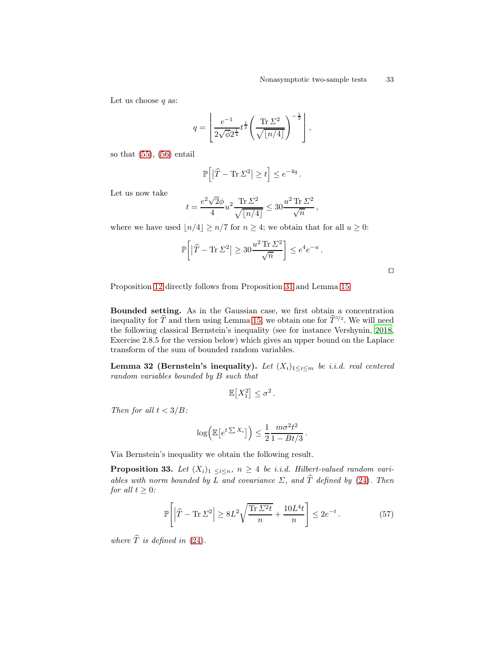Let us choose  $q$  as:

$$
q = \left\lfloor \frac{e^{-1}}{2\sqrt{\phi 2^{\frac{1}{4}}}} t^{\frac{1}{2}} \left( \frac{\text{Tr} \ \Sigma^2}{\sqrt{\lfloor n/4 \rfloor}} \right)^{-\frac{1}{2}} \right\rfloor,
$$

so that [\(55\)](#page-31-2), [\(56\)](#page-31-3) entail

$$
\mathbb{P}\Big[ \big| \widehat T - \text{Tr}\, \varSigma^2 \big| \ge t \Big] \le e^{-4q} \, .
$$

Let us now take

$$
t=\frac{e^2\sqrt{2}\phi}{4}u^2\frac{\text{Tr}\,\varSigma^2}{\sqrt{\lfloor n/4\rfloor}}\leq 30\frac{u^2\,\text{Tr}\,\varSigma^2}{\sqrt{n}}\,,
$$

where we have used  $|n/4| \geq n/7$  for  $n \geq 4$ ; we obtain that for all  $u \geq 0$ :

$$
\mathbb{P}\bigg[ \big| \widehat{T} - \text{Tr}\, \varSigma^2 \big| \geq 30 \frac{u^2 \, \text{Tr}\, \varSigma^2}{\sqrt{n}} \bigg] \leq e^4 e^{-u} \, .
$$

Proposition [12](#page-13-2) directly follows from Proposition [31](#page-31-4) and Lemma [15.](#page-16-2)

Bounded setting. As in the Gaussian case, we first obtain a concentration inequality for  $\hat{T}$  and then using Lemma [15,](#page-16-2) we obtain one for  $\hat{T}^{1/2}$ . We will need the following classical Bernstein's inequality (see for instance Vershynin, [2018,](#page-39-14) Exercise 2.8.5 for the version below) which gives an upper bound on the Laplace transform of the sum of bounded random variables.

<span id="page-32-0"></span>Lemma 32 (Bernstein's inequality). Let  $(X_i)_{1 \leq i \leq m}$  be i.i.d. real centered random variables bounded by B such that

$$
\mathbb{E}[X_1^2] \leq \sigma^2.
$$

Then for all  $t < 3/B$ :

$$
\log\left(\mathbb{E}\left[e^{t\sum X_i}\right]\right) \leq \frac{1}{2}\frac{m\sigma^2 t^2}{1 - Bt/3}.
$$

Via Bernstein's inequality we obtain the following result.

**Proposition 33.** Let  $(X_i)$ <sub>1</sub>  $\lt_i \lt_{n}$ ,  $n \geq 4$  be *i.i.d.* Hilbert-valued random variables with norm bounded by L and covariance  $\Sigma$ , and  $\hat{T}$  defined by [\(24\)](#page-13-1). Then for all  $t \geq 0$ :

$$
\mathbb{P}\left[\left|\widehat{T} - \text{Tr}\,\Sigma^2\right| \ge 8L^2\sqrt{\frac{\text{Tr}\,\Sigma^2 t}{n}} + \frac{10L^4 t}{n}\right] \le 2e^{-t}.\tag{57}
$$

where  $\hat{T}$  is defined in [\(24\)](#page-13-1).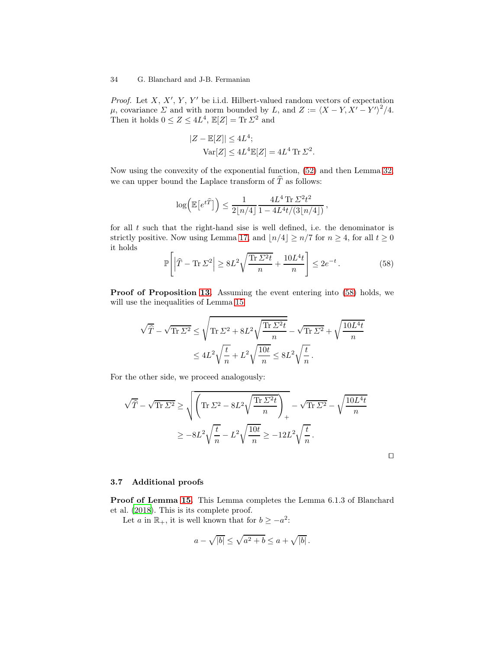*Proof.* Let  $X, X', Y, Y'$  be i.i.d. Hilbert-valued random vectors of expectation  $\mu$ , covariance  $\Sigma$  and with norm bounded by L, and  $Z := \langle X - Y, X' - Y' \rangle^2/4$ . Then it holds  $0 \le Z \le 4L^4$ ,  $\mathbb{E}[Z] = \text{Tr} \Sigma^2$  and

$$
|Z - \mathbb{E}[Z]| \le 4L^4;
$$
  
 
$$
Var[Z] \le 4L^4 \mathbb{E}[Z] = 4L^4 \text{ Tr } \Sigma^2
$$

Now using the convexity of the exponential function, [\(52\)](#page-31-0) and then Lemma [32,](#page-32-0) we can upper bound the Laplace transform of  $\widehat{T}$  as follows:

$$
\log\left(\mathbb{E}\big[e^{t\widehat{T}}\big]\right) \le \frac{1}{2\lfloor n/4\rfloor} \frac{4L^4 \operatorname{Tr} \Sigma^2 t^2}{1 - 4L^4 t/(3\lfloor n/4\rfloor)},
$$

for all  $t$  such that the right-hand sise is well defined, i.e. the denominator is strictly positive. Now using Lemma [17,](#page-18-0) and  $\lfloor n/4 \rfloor \ge n/7$  for  $n \ge 4$ , for all  $t \ge 0$ it holds

<span id="page-33-1"></span>
$$
\mathbb{P}\left[\left|\widehat{T} - \text{Tr}\,\Sigma^2\right| \ge 8L^2\sqrt{\frac{\text{Tr}\,\Sigma^2 t}{n}} + \frac{10L^4 t}{n}\right] \le 2e^{-t}.\tag{58}
$$

.

Proof of Proposition [13.](#page-13-3) Assuming the event entering into  $(58)$  holds, we will use the inequalities of Lemma [15:](#page-16-2)

$$
\sqrt{\widehat{T}} - \sqrt{\text{Tr } \Sigma^2} \le \sqrt{\text{Tr } \Sigma^2 + 8L^2 \sqrt{\frac{\text{Tr } \Sigma^2 t}{n}}} - \sqrt{\text{Tr } \Sigma^2} + \sqrt{\frac{10L^4 t}{n}}
$$

$$
\le 4L^2 \sqrt{\frac{t}{n}} + L^2 \sqrt{\frac{10t}{n}} \le 8L^2 \sqrt{\frac{t}{n}}.
$$

For the other side, we proceed analogously:

$$
\sqrt{\widehat{T}} - \sqrt{\text{Tr } \Sigma^2} \ge \sqrt{\left(\text{Tr } \Sigma^2 - 8L^2 \sqrt{\frac{\text{Tr } \Sigma^2 t}{n}}\right)_+} - \sqrt{\text{Tr } \Sigma^2} - \sqrt{\frac{10L^4 t}{n}}
$$

$$
\ge -8L^2 \sqrt{\frac{t}{n}} - L^2 \sqrt{\frac{10t}{n}} \ge -12L^2 \sqrt{\frac{t}{n}}.
$$

⊓⊔

## <span id="page-33-0"></span>3.7 Additional proofs

Proof of Lemma [15.](#page-16-2) This Lemma completes the Lemma 6.1.3 of Blanchard et al. [\(2018\)](#page-37-2). This is its complete proof.

Let a in  $\mathbb{R}_+$ , it is well known that for  $b \ge -a^2$ :

$$
a - \sqrt{|b|} \le \sqrt{a^2 + b} \le a + \sqrt{|b|}.
$$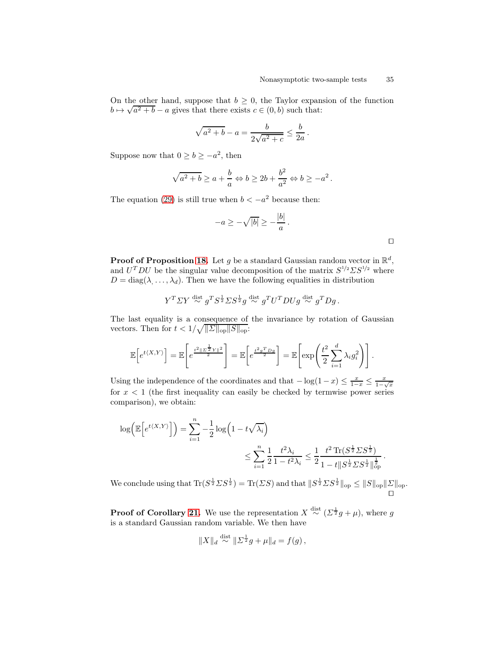On the other hand, suppose that  $b \geq 0$ , the Taylor expansion of the function  $b \mapsto \sqrt{a^2 + b} - a$  gives that there exists  $c \in (0, b)$  such that:

$$
\sqrt{a^2 + b} - a = \frac{b}{2\sqrt{a^2 + c}} \le \frac{b}{2a}.
$$

Suppose now that  $0 \ge b \ge -a^2$ , then

$$
\sqrt{a^2 + b} \ge a + \frac{b}{a} \Leftrightarrow b \ge 2b + \frac{b^2}{a^2} \Leftrightarrow b \ge -a^2.
$$

The equation [\(29\)](#page-16-3) is still true when  $b < -a^2$  because then:

$$
-a \ge -\sqrt{|b|} \ge -\frac{|b|}{a}.
$$

**Proof of Proposition [18.](#page-18-3)** Let g be a standard Gaussian random vector in  $\mathbb{R}^d$ , and  $U^T D U$  be the singular value decomposition of the matrix  $S^{1/2} \Sigma S^{1/2}$  where  $D = \text{diag}(\lambda, \dots, \lambda_d)$ . Then we have the following equalities in distribution

$$
Y^T \Sigma Y \stackrel{\text{dist}}{\sim} g^T S^{\frac{1}{2}} \Sigma S^{\frac{1}{2}} g \stackrel{\text{dist}}{\sim} g^T U^T D U g \stackrel{\text{dist}}{\sim} g^T D g.
$$

The last equality is a consequence of the invariance by rotation of Gaussian vectors. Then for  $t < 1/\sqrt{\|\Sigma\|_{\text{op}} \|S\|_{\text{op}}}.$ 

$$
\mathbb{E}\left[e^{t\langle X,Y\rangle}\right] = \mathbb{E}\left[e^{\frac{t^2\|\Sigma^{\frac{1}{2}}Y\|^2}{2}}\right] = \mathbb{E}\left[e^{\frac{t^2g^TDg}{2}}\right] = \mathbb{E}\left[\exp\left(\frac{t^2}{2}\sum_{i=1}^d \lambda_i g_i^2\right)\right].
$$

Using the independence of the coordinates and that  $-\log(1-x) \le \frac{x}{1-x} \le \frac{x}{1-\sqrt{x}}$ for  $x < 1$  (the first inequality can easily be checked by termwise power series comparison), we obtain:

$$
\log \left( \mathbb{E} \left[ e^{t \langle X, Y \rangle} \right] \right) = \sum_{i=1}^{n} -\frac{1}{2} \log \left( 1 - t \sqrt{\lambda_i} \right)
$$
  
\$\leq \sum\_{i=1}^{n} \frac{1}{2} \frac{t^2 \lambda\_i}{1 - t^2 \lambda\_i} \leq \frac{1}{2} \frac{t^2 \operatorname{Tr} (S^{\frac{1}{2}} \Sigma S^{\frac{1}{2}})}{1 - t \| S^{\frac{1}{2}} \Sigma S^{\frac{1}{2}} \|\_{\mathrm{op}}^{\frac{1}{2}}}

We conclude using that  $\text{Tr}(S^{\frac{1}{2}}\Sigma S^{\frac{1}{2}}) = \text{Tr}(\Sigma S)$  and that  $||S^{\frac{1}{2}}\Sigma S^{\frac{1}{2}}||_{op} \le ||S||_{op} ||\Sigma||_{op}$ . ⊓⊔

**Proof of Corollary [21.](#page-26-3)** We use the representation  $X \stackrel{\text{dist}}{\sim} (\Sigma^{\frac{1}{2}}g + \mu)$ , where g is a standard Gaussian random variable. We then have

$$
||X||_d \stackrel{\text{dist}}{\sim} ||\Sigma^{\frac{1}{2}}g + \mu||_d = f(g),
$$

|  | ۰ |  |  |
|--|---|--|--|
|  |   |  |  |

.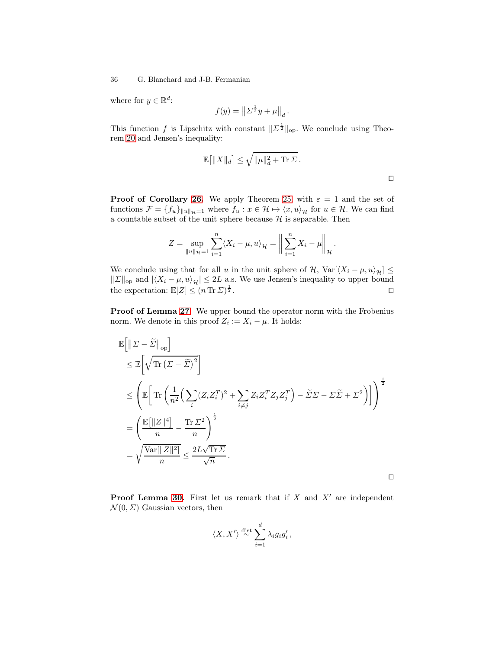where for  $y \in \mathbb{R}^d$ :

$$
f(y) = \| \Sigma^{\frac{1}{2}} y + \mu \|_d.
$$

This function f is Lipschitz with constant  $\|\Sigma^{\frac{1}{2}}\|_{\text{op}}$ . We conclude using Theorem [20](#page-25-3) and Jensen's inequality:

$$
\mathbb{E}\big[\|X\|_d\big] \le \sqrt{\|\mu\|_d^2 + \text{Tr}\,\Sigma} \,.
$$

⊓⊔

**Proof of Corollary [26.](#page-29-2)** We apply Theorem [25,](#page-28-1) with  $\varepsilon = 1$  and the set of functions  $\mathcal{F} = \{f_u\}_{\|u\|_{\mathcal{H}}=1}$  where  $f_u : x \in \mathcal{H} \mapsto \langle x, u \rangle_{\mathcal{H}}$  for  $u \in \mathcal{H}$ . We can find a countable subset of the unit sphere because  $\mathcal H$  is separable. Then

$$
Z = \sup_{\|u\|_{\mathcal{H}}=1} \sum_{i=1}^{n} \langle X_i - \mu, u \rangle_{\mathcal{H}} = \left\| \sum_{i=1}^{n} X_i - \mu \right\|_{\mathcal{H}}.
$$

We conclude using that for all u in the unit sphere of  $\mathcal{H}$ , Var $\left[\langle X_i - \mu, u \rangle_{\mathcal{H}}\right] \leq$  $||\Sigma||_{\text{op}}$  and  $|\langle X_i - \mu, u \rangle_{\mathcal{H}}| \leq 2L$  a.s. We use Jensen's inequality to upper bound the expectation:  $\mathbb{E}[Z] < (n \text{ Tr } \Sigma)^{\frac{1}{2}}$ . the expectation:  $\mathbb{E}[Z] \leq (n \operatorname{Tr} \Sigma)^{\frac{1}{2}}$  $\frac{1}{2}$ .  $□$ 

Proof of Lemma [27.](#page-29-0) We upper bound the operator norm with the Frobenius norm. We denote in this proof  $Z_i := X_i - \mu$ . It holds:

$$
\mathbb{E}\left[\left\|\Sigma-\widetilde{\Sigma}\right\|_{\text{op}}\right]
$$
\n
$$
\leq \mathbb{E}\left[\sqrt{\text{Tr}\left(\Sigma-\widetilde{\Sigma}\right)^{2}}\right]
$$
\n
$$
\leq \left(\mathbb{E}\left[\text{Tr}\left(\frac{1}{n^{2}}\left(\sum_{i}(Z_{i}Z_{i}^{T})^{2}+\sum_{i\neq j}Z_{i}Z_{i}^{T}Z_{j}Z_{j}^{T}\right)-\widetilde{\Sigma}\Sigma-\Sigma\widetilde{\Sigma}+\Sigma^{2}\right)\right]\right)^{\frac{1}{2}}
$$
\n
$$
=\left(\frac{\mathbb{E}\left[\|Z\|^{4}\right]}{n}-\frac{\text{Tr}\,\Sigma^{2}}{n}\right)^{\frac{1}{2}}
$$
\n
$$
=\sqrt{\frac{\text{Var}\left[\|Z\|^{2}\right]}{n}} \leq \frac{2L\sqrt{\text{Tr}\,\Sigma}}{\sqrt{n}}.
$$

**Proof Lemma [30.](#page-31-1)** First let us remark that if  $X$  and  $X'$  are independent  $\mathcal{N}(0, \Sigma)$  Gaussian vectors, then

$$
\langle X, X' \rangle \stackrel{\text{dist}}{\sim} \sum_{i=1}^d \lambda_i g_i g_i',
$$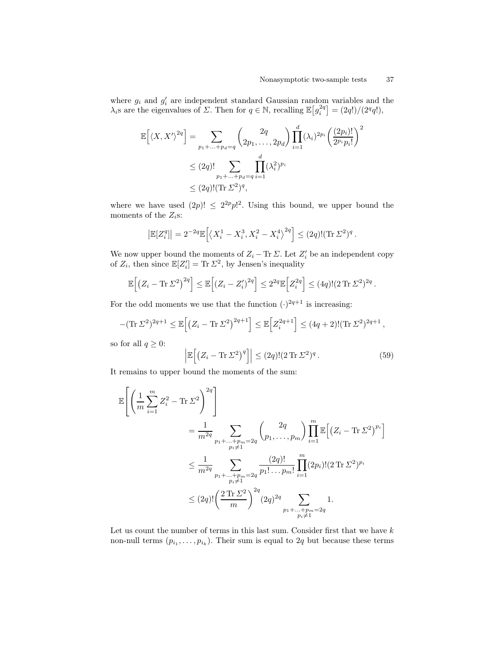where  $g_i$  and  $g'_i$  are independent standard Gaussian random variables and the  $\lambda_i$ s are the eigenvalues of  $\Sigma$ . Then for  $q \in \mathbb{N}$ , recalling  $\mathbb{E}\left[g_i^{2q}\right] = \frac{2q!}{2^qq!}$ ,

$$
\mathbb{E}\left[\langle X, X'\rangle^{2q}\right] = \sum_{p_1 + \dots + p_d = q} \binom{2q}{2p_1, \dots, 2p_d} \prod_{i=1}^d (\lambda_i)^{2p_i} \left(\frac{(2p_i)!}{2^{p_i}p_i!}\right)^2
$$
  
\n
$$
\leq (2q)! \sum_{p_1 + \dots + p_d = q} \prod_{i=1}^d (\lambda_i^2)^{p_i}
$$
  
\n
$$
\leq (2q)!(\text{Tr }\Sigma^2)^q,
$$

where we have used  $(2p)! \leq 2^{2p} p!^2$ . Using this bound, we upper bound the moments of the  $Z_i$ s:

$$
\left|\mathbb{E}[Z_i^q]\right| = 2^{-2q} \mathbb{E}\left[\left\langle X_i^1 - X_i^3, X_i^2 - X_i^4\right\rangle^{2q}\right] \leq (2q)! (\text{Tr}\,\Sigma^2)^q.
$$

We now upper bound the moments of  $Z_i - \text{Tr} \Sigma$ . Let  $Z'_i$  be an independent copy of  $Z_i$ , then since  $\mathbb{E}[Z_i'] = \text{Tr} \Sigma^2$ , by Jensen's inequality

$$
\mathbb{E}\Big[\big(Z_i - \text{Tr}\,\Sigma^2\big)^{2q}\Big] \leq \mathbb{E}\Big[\big(Z_i - Z_i'\big)^{2q}\Big] \leq 2^{2q}\mathbb{E}\Big[Z_i^{2q}\Big] \leq (4q)!(2\,\text{Tr}\,\Sigma^2)^{2q}.
$$

For the odd moments we use that the function  $(\cdot)^{2q+1}$  is increasing:

$$
-(\mathrm{Tr}\,\Sigma^2)^{2q+1} \leq \mathbb{E}\Big[\big(Z_i - \mathrm{Tr}\,\Sigma^2\big)^{2q+1}\Big] \leq \mathbb{E}\Big[Z_i^{2q+1}\Big] \leq (4q+2)!(\mathrm{Tr}\,\Sigma^2)^{2q+1},
$$

so for all  $q \geq 0$ :

$$
\left| \mathbb{E} \left[ \left( Z_i - \text{Tr} \, \Sigma^2 \right)^q \right] \right| \leq (2q)! (2 \, \text{Tr} \, \Sigma^2)^q \,. \tag{59}
$$

It remains to upper bound the moments of the sum:

$$
\mathbb{E}\left[\left(\frac{1}{m}\sum_{i=1}^{m}Z_{i}^{2}-\text{Tr}\,\Sigma^{2}\right)^{2q}\right] \n= \frac{1}{m^{2q}}\sum_{\substack{p_{1}+\ldots+p_{m}=2q\\p_{i}\neq 1}}\binom{2q}{p_{1},\ldots,p_{m}}\prod_{i=1}^{m}\mathbb{E}\left[(Z_{i}-\text{Tr}\,\Sigma^{2})^{p_{i}}\right] \n\leq \frac{1}{m^{2q}}\sum_{\substack{p_{1}+\ldots+p_{m}=2q\\p_{i}\neq 1}}\frac{(2q)!}{p_{1}!\ldots p_{m}!}\prod_{i=1}^{m}(2p_{i})!(2\,\text{Tr}\,\Sigma^{2})^{p_{i}} \n\leq (2q)!\left(\frac{2\,\text{Tr}\,\Sigma^{2}}{m}\right)^{2q}(2q)^{2q}\sum_{\substack{p_{1}+\ldots+p_{m}=2q\\p_{i}\neq 1}}1.
$$

Let us count the number of terms in this last sum. Consider first that we have  $k$ non-null terms  $(p_{i_1},...,p_{i_k})$ . Their sum is equal to 2q but because these terms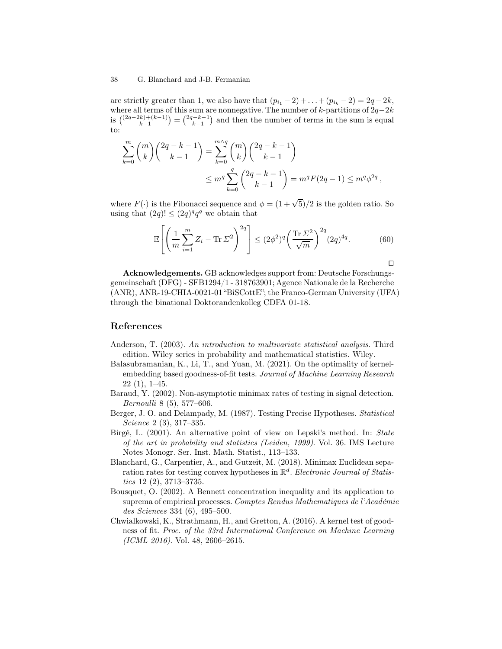are strictly greater than 1, we also have that  $(p_{i_1} - 2) + ... + (p_{i_k} - 2) = 2q - 2k$ , where all terms of this sum are nonnegative. The number of k-partitions of  $2q-2k$ is  $\binom{(2q-2k)+(k-1)}{k-1} = \binom{2q-k-1}{k-1}$  and then the number of terms in the sum is equal to:

$$
\sum_{k=0}^{m} {m \choose k} {2q-k-1 \choose k-1} = \sum_{k=0}^{m \wedge q} {m \choose k} {2q-k-1 \choose k-1} \n\leq m^q \sum_{k=0}^{q} {2q-k-1 \choose k-1} = m^q F(2q-1) \leq m^q \phi^{2q},
$$

where  $F(\cdot)$  is the Fibonacci sequence and  $\phi = (1 + \sqrt{5})/2$  is the golden ratio. So using that  $(2q)! \leq (2q)^q q^q$  we obtain that

$$
\mathbb{E}\left[\left(\frac{1}{m}\sum_{i=1}^{m}Z_i - \text{Tr}\,\Sigma^2\right)^{2q}\right] \le (2\phi^2)^q \left(\frac{\text{Tr}\,\Sigma^2}{\sqrt{m}}\right)^{2q} (2q)^{4q}.\tag{60}
$$

Acknowledgements. GB acknowledges support from: Deutsche Forschungsgemeinschaft (DFG) - SFB1294/1 - 318763901; Agence Nationale de la Recherche (ANR), ANR-19-CHIA-0021-01 "BiSCottE"; the Franco-German University (UFA) through the binational Doktorandenkolleg CDFA 01-18.

## <span id="page-37-5"></span>References

- Anderson, T. (2003). An introduction to multivariate statistical analysis. Third edition. Wiley series in probability and mathematical statistics. Wiley.
- <span id="page-37-4"></span>Balasubramanian, K., Li, T., and Yuan, M. (2021). On the optimality of kernelembedding based goodness-of-fit tests. Journal of Machine Learning Research 22 (1), 1–45.
- <span id="page-37-0"></span>Baraud, Y. (2002). Non-asymptotic minimax rates of testing in signal detection. Bernoulli 8 (5), 577–606.
- <span id="page-37-1"></span>Berger, J. O. and Delampady, M. (1987). Testing Precise Hypotheses. Statistical Science 2 (3), 317–335.
- <span id="page-37-6"></span>Birgé, L. (2001). An alternative point of view on Lepski's method. In: State of the art in probability and statistics (Leiden, 1999). Vol. 36. IMS Lecture Notes Monogr. Ser. Inst. Math. Statist., 113–133.
- <span id="page-37-2"></span>Blanchard, G., Carpentier, A., and Gutzeit, M. (2018). Minimax Euclidean separation rates for testing convex hypotheses in  $\mathbb{R}^d$ . Electronic Journal of Statistics 12 (2), 3713–3735.
- <span id="page-37-7"></span>Bousquet, O. (2002). A Bennett concentration inequality and its application to suprema of empirical processes. Comptes Rendus Mathematiques de l'Académie des Sciences 334 (6), 495–500.
- <span id="page-37-3"></span>Chwialkowski, K., Strathmann, H., and Gretton, A. (2016). A kernel test of goodness of fit. Proc. of the 33rd International Conference on Machine Learning (ICML 2016). Vol. 48, 2606–2615.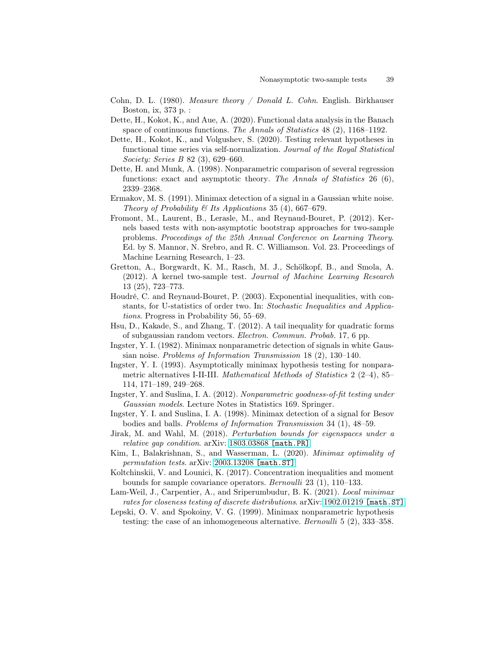- <span id="page-38-11"></span><span id="page-38-7"></span>Cohn, D. L. (1980). Measure theory / Donald L. Cohn. English. Birkhauser Boston, ix, 373 p. :
- Dette, H., Kokot, K., and Aue, A. (2020). Functional data analysis in the Banach space of continuous functions. The Annals of Statistics 48 (2), 1168–1192.
- <span id="page-38-8"></span>Dette, H., Kokot, K., and Volgushev, S. (2020). Testing relevant hypotheses in functional time series via self-normalization. Journal of the Royal Statistical Society: Series B 82 (3), 629–660.
- <span id="page-38-6"></span>Dette, H. and Munk, A. (1998). Nonparametric comparison of several regression functions: exact and asymptotic theory. The Annals of Statistics 26  $(6)$ , 2339–2368.
- <span id="page-38-3"></span>Ermakov, M. S. (1991). Minimax detection of a signal in a Gaussian white noise. Theory of Probability  $\mathcal B$  Its Applications 35 (4), 667–679.
- <span id="page-38-12"></span>Fromont, M., Laurent, B., Lerasle, M., and Reynaud-Bouret, P. (2012). Kernels based tests with non-asymptotic bootstrap approaches for two-sample problems. Proceedings of the 25th Annual Conference on Learning Theory. Ed. by S. Mannor, N. Srebro, and R. C. Williamson. Vol. 23. Proceedings of Machine Learning Research, 1–23.
- <span id="page-38-10"></span>Gretton, A., Borgwardt, K. M., Rasch, M. J., Schölkopf, B., and Smola, A. (2012). A kernel two-sample test. Journal of Machine Learning Research 13 (25), 723–773.
- <span id="page-38-17"></span>Houdré, C. and Reynaud-Bouret, P. (2003). Exponential inequalities, with constants, for U-statistics of order two. In: Stochastic Inequalities and Applications. Progress in Probability 56, 55–69.
- <span id="page-38-15"></span><span id="page-38-0"></span>Hsu, D., Kakade, S., and Zhang, T. (2012). A tail inequality for quadratic forms of subgaussian random vectors. Electron. Commun. Probab. 17, 6 pp.
- Ingster, Y. I. (1982). Minimax nonparametric detection of signals in white Gaussian noise. Problems of Information Transmission 18 (2), 130–140.
- <span id="page-38-1"></span>Ingster, Y. I. (1993). Asymptotically minimax hypothesis testing for nonparametric alternatives I-II-III. Mathematical Methods of Statistics 2 (2–4), 85– 114, 171–189, 249–268.
- <span id="page-38-2"></span>Ingster, Y. and Suslina, I. A. (2012). Nonparametric goodness-of-fit testing under Gaussian models. Lecture Notes in Statistics 169. Springer.
- <span id="page-38-4"></span>Ingster, Y. I. and Suslina, I. A. (1998). Minimax detection of a signal for Besov bodies and balls. Problems of Information Transmission 34 (1), 48–59.
- <span id="page-38-14"></span>Jirak, M. and Wahl, M. (2018). Perturbation bounds for eigenspaces under a relative gap condition. arXiv: [1803.03868](https://arxiv.org/abs/1803.03868) [math.PR].
- <span id="page-38-16"></span>Kim, I., Balakrishnan, S., and Wasserman, L. (2020). Minimax optimality of permutation tests. arXiv: [2003.13208](https://arxiv.org/abs/2003.13208) [math.ST].
- <span id="page-38-13"></span>Koltchinskii, V. and Lounici, K. (2017). Concentration inequalities and moment bounds for sample covariance operators. Bernoulli 23 (1), 110–133.
- <span id="page-38-9"></span>Lam-Weil, J., Carpentier, A., and Sriperumbudur, B. K. (2021). *Local minimax* rates for closeness testing of discrete distributions. arXiv: [1902.01219](https://arxiv.org/abs/1902.01219) [math.ST].
- <span id="page-38-5"></span>Lepski, O. V. and Spokoiny, V. G. (1999). Minimax nonparametric hypothesis testing: the case of an inhomogeneous alternative. Bernoulli 5 (2), 333–358.